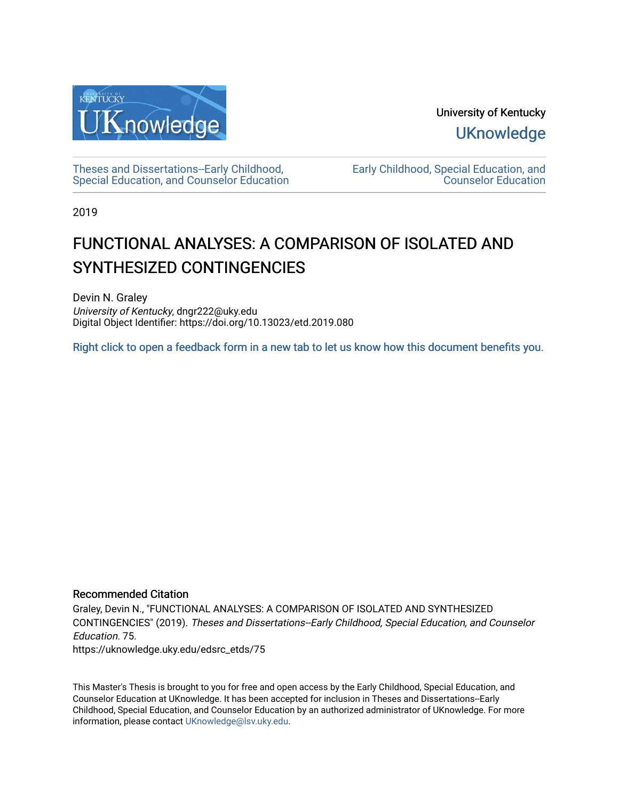

University of Kentucky **UKnowledge** 

[Theses and Dissertations--Early Childhood,](https://uknowledge.uky.edu/edsrc_etds)  [Special Education, and Counselor Education](https://uknowledge.uky.edu/edsrc_etds) [Early Childhood, Special Education, and](https://uknowledge.uky.edu/edsrc)  [Counselor Education](https://uknowledge.uky.edu/edsrc) 

2019

# FUNCTIONAL ANALYSES: A COMPARISON OF ISOLATED AND SYNTHESIZED CONTINGENCIES

Devin N. Graley University of Kentucky, dngr222@uky.edu Digital Object Identifier: https://doi.org/10.13023/etd.2019.080

[Right click to open a feedback form in a new tab to let us know how this document benefits you.](https://uky.az1.qualtrics.com/jfe/form/SV_9mq8fx2GnONRfz7)

### Recommended Citation

Graley, Devin N., "FUNCTIONAL ANALYSES: A COMPARISON OF ISOLATED AND SYNTHESIZED CONTINGENCIES" (2019). Theses and Dissertations--Early Childhood, Special Education, and Counselor Education. 75. https://uknowledge.uky.edu/edsrc\_etds/75

This Master's Thesis is brought to you for free and open access by the Early Childhood, Special Education, and Counselor Education at UKnowledge. It has been accepted for inclusion in Theses and Dissertations--Early Childhood, Special Education, and Counselor Education by an authorized administrator of UKnowledge. For more information, please contact [UKnowledge@lsv.uky.edu](mailto:UKnowledge@lsv.uky.edu).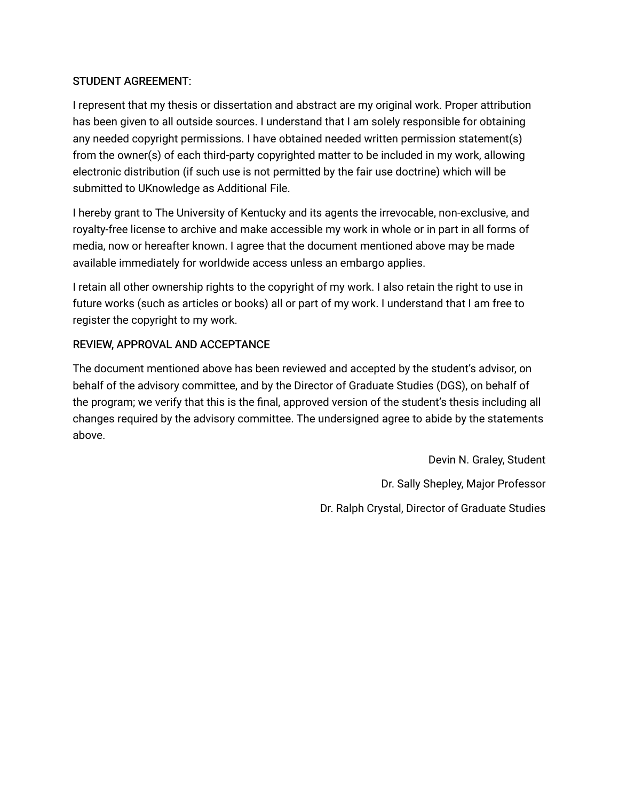# STUDENT AGREEMENT:

I represent that my thesis or dissertation and abstract are my original work. Proper attribution has been given to all outside sources. I understand that I am solely responsible for obtaining any needed copyright permissions. I have obtained needed written permission statement(s) from the owner(s) of each third-party copyrighted matter to be included in my work, allowing electronic distribution (if such use is not permitted by the fair use doctrine) which will be submitted to UKnowledge as Additional File.

I hereby grant to The University of Kentucky and its agents the irrevocable, non-exclusive, and royalty-free license to archive and make accessible my work in whole or in part in all forms of media, now or hereafter known. I agree that the document mentioned above may be made available immediately for worldwide access unless an embargo applies.

I retain all other ownership rights to the copyright of my work. I also retain the right to use in future works (such as articles or books) all or part of my work. I understand that I am free to register the copyright to my work.

# REVIEW, APPROVAL AND ACCEPTANCE

The document mentioned above has been reviewed and accepted by the student's advisor, on behalf of the advisory committee, and by the Director of Graduate Studies (DGS), on behalf of the program; we verify that this is the final, approved version of the student's thesis including all changes required by the advisory committee. The undersigned agree to abide by the statements above.

> Devin N. Graley, Student Dr. Sally Shepley, Major Professor Dr. Ralph Crystal, Director of Graduate Studies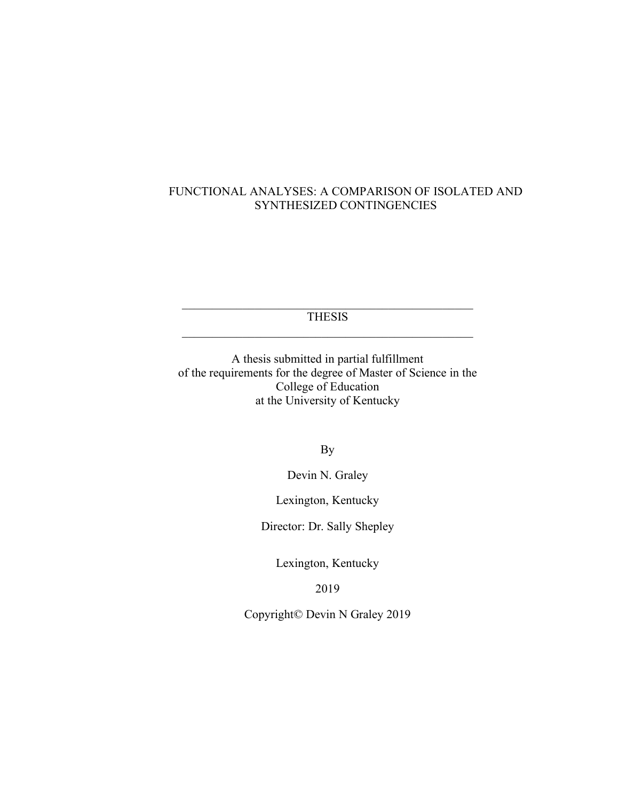# FUNCTIONAL ANALYSES: A COMPARISON OF ISOLATED AND SYNTHESIZED CONTINGENCIES

 $\mathcal{L}_\text{max}$  , and the set of the set of the set of the set of the set of the set of the set of the set of the set of the set of the set of the set of the set of the set of the set of the set of the set of the set of the THESIS  $\mathcal{L}_\text{max}$  and the contract of the contract of the contract of the contract of the contract of the contract of the contract of the contract of the contract of the contract of the contract of the contract of the contrac

A thesis submitted in partial fulfillment of the requirements for the degree of Master of Science in the College of Education at the University of Kentucky

By

Devin N. Graley

Lexington, Kentucky

Director: Dr. Sally Shepley

Lexington, Kentucky

2019

Copyright© Devin N Graley 2019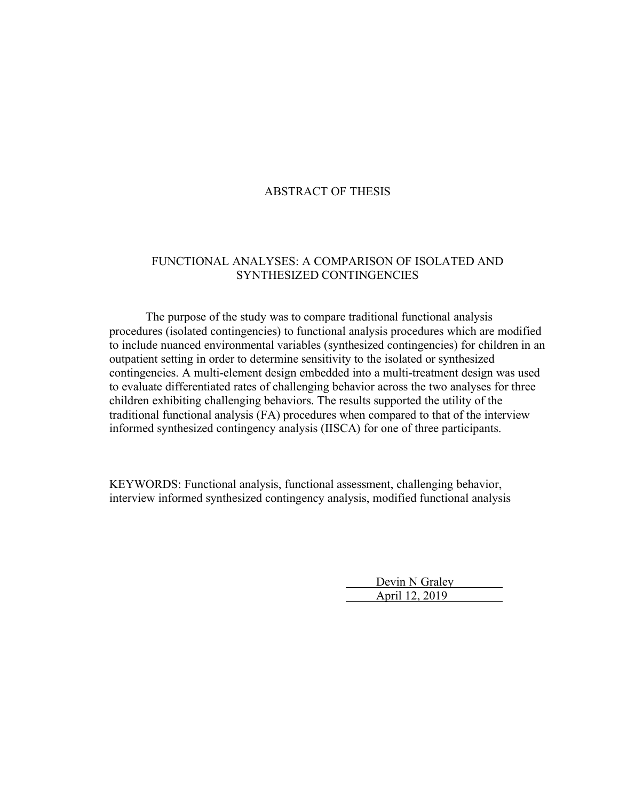# ABSTRACT OF THESIS

# FUNCTIONAL ANALYSES: A COMPARISON OF ISOLATED AND SYNTHESIZED CONTINGENCIES

The purpose of the study was to compare traditional functional analysis procedures (isolated contingencies) to functional analysis procedures which are modified to include nuanced environmental variables (synthesized contingencies) for children in an outpatient setting in order to determine sensitivity to the isolated or synthesized contingencies. A multi-element design embedded into a multi-treatment design was used to evaluate differentiated rates of challenging behavior across the two analyses for three children exhibiting challenging behaviors. The results supported the utility of the traditional functional analysis (FA) procedures when compared to that of the interview informed synthesized contingency analysis (IISCA) for one of three participants.

KEYWORDS: Functional analysis, functional assessment, challenging behavior, interview informed synthesized contingency analysis, modified functional analysis

> Devin N Graley April 12, 2019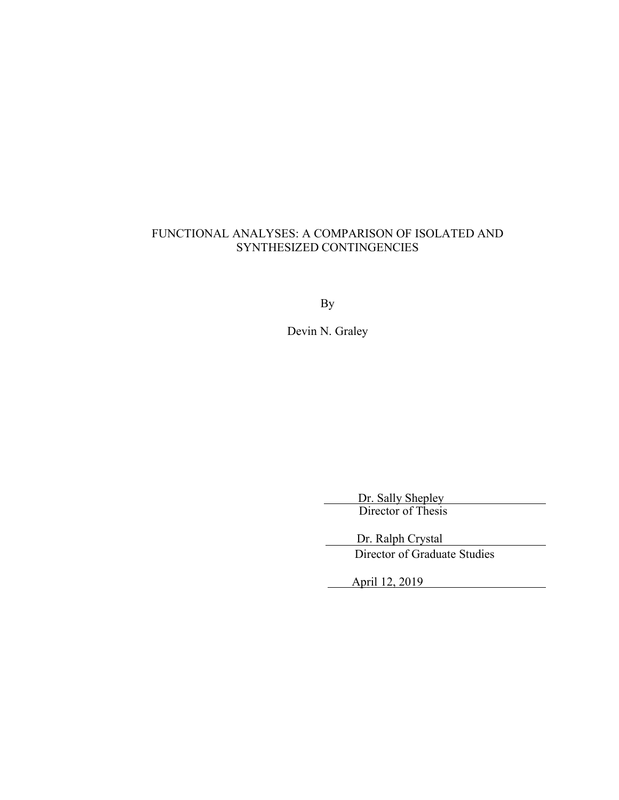# FUNCTIONAL ANALYSES: A COMPARISON OF ISOLATED AND SYNTHESIZED CONTINGENCIES

By

Devin N. Graley

Dr. Sally Shepley Director of Thesis

Dr. Ralph Crystal Director of Graduate Studies

April 12, 2019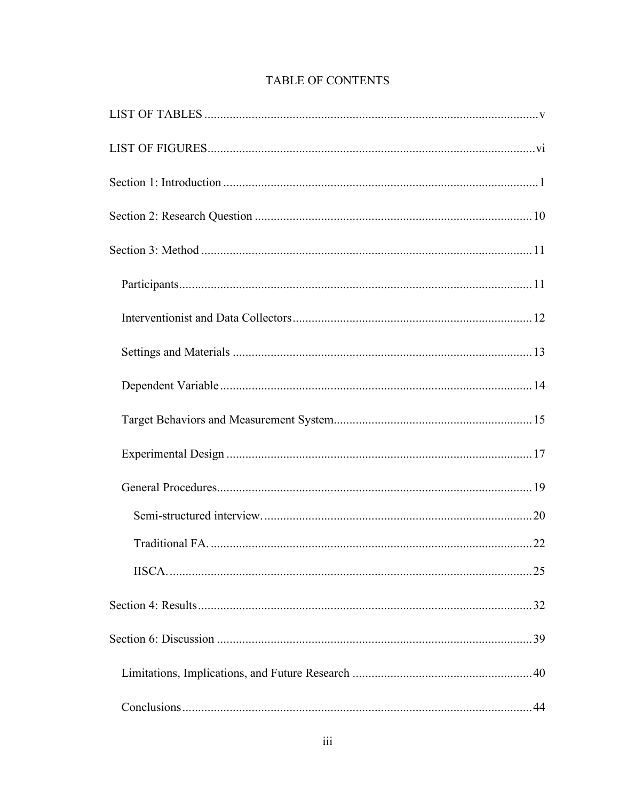|  | <b>TABLE OF CONTENTS</b> |
|--|--------------------------|
|--|--------------------------|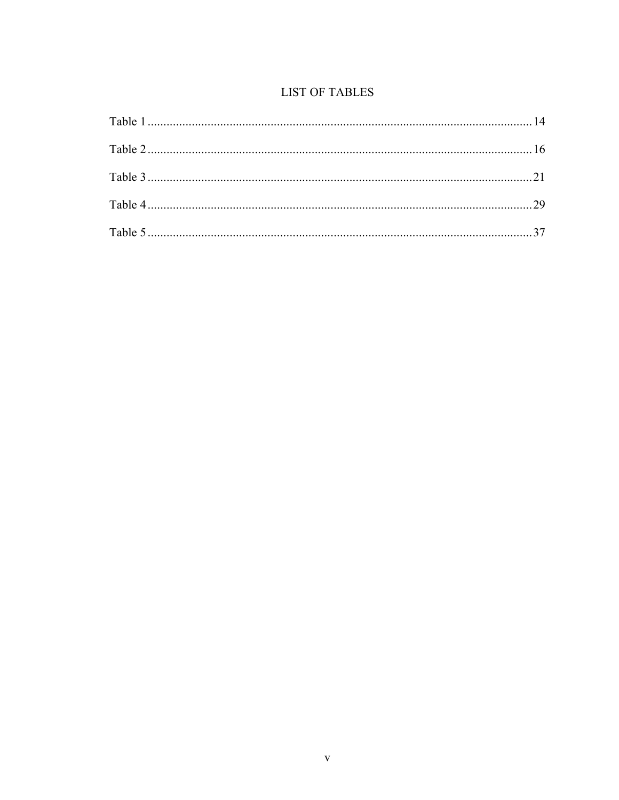# **LIST OF TABLES**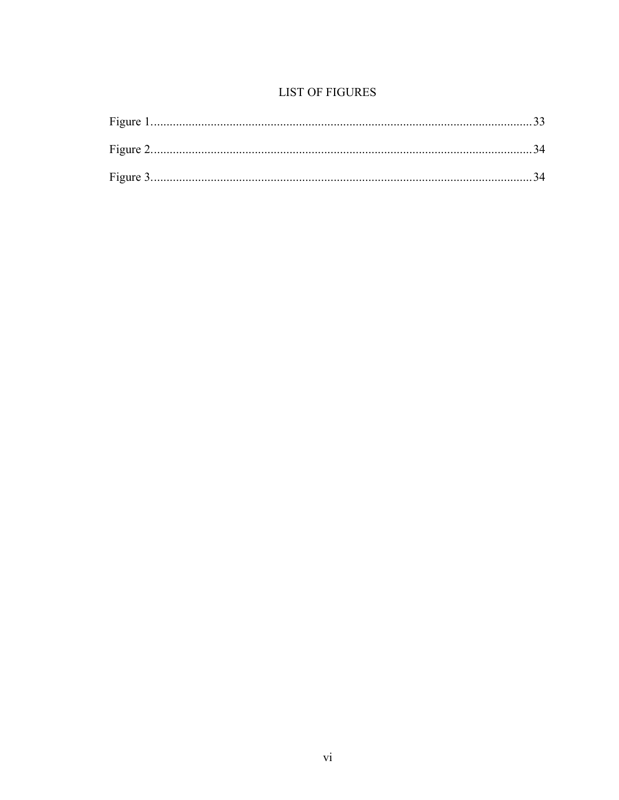# **LIST OF FIGURES**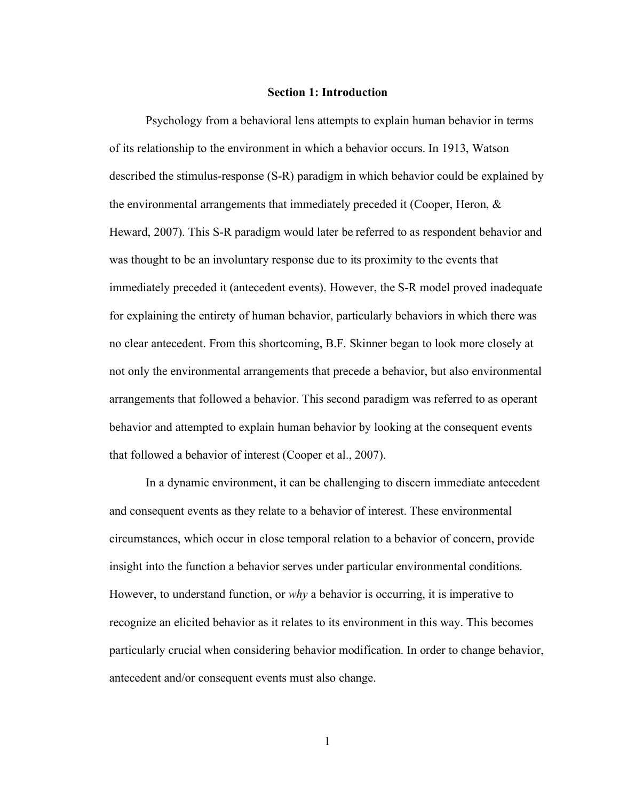#### **Section 1: Introduction**

Psychology from a behavioral lens attempts to explain human behavior in terms of its relationship to the environment in which a behavior occurs. In 1913, Watson described the stimulus-response (S-R) paradigm in which behavior could be explained by the environmental arrangements that immediately preceded it (Cooper, Heron,  $\&$ Heward, 2007). This S-R paradigm would later be referred to as respondent behavior and was thought to be an involuntary response due to its proximity to the events that immediately preceded it (antecedent events). However, the S-R model proved inadequate for explaining the entirety of human behavior, particularly behaviors in which there was no clear antecedent. From this shortcoming, B.F. Skinner began to look more closely at not only the environmental arrangements that precede a behavior, but also environmental arrangements that followed a behavior. This second paradigm was referred to as operant behavior and attempted to explain human behavior by looking at the consequent events that followed a behavior of interest (Cooper et al., 2007).

In a dynamic environment, it can be challenging to discern immediate antecedent and consequent events as they relate to a behavior of interest. These environmental circumstances, which occur in close temporal relation to a behavior of concern, provide insight into the function a behavior serves under particular environmental conditions. However, to understand function, or *why* a behavior is occurring, it is imperative to recognize an elicited behavior as it relates to its environment in this way. This becomes particularly crucial when considering behavior modification. In order to change behavior, antecedent and/or consequent events must also change.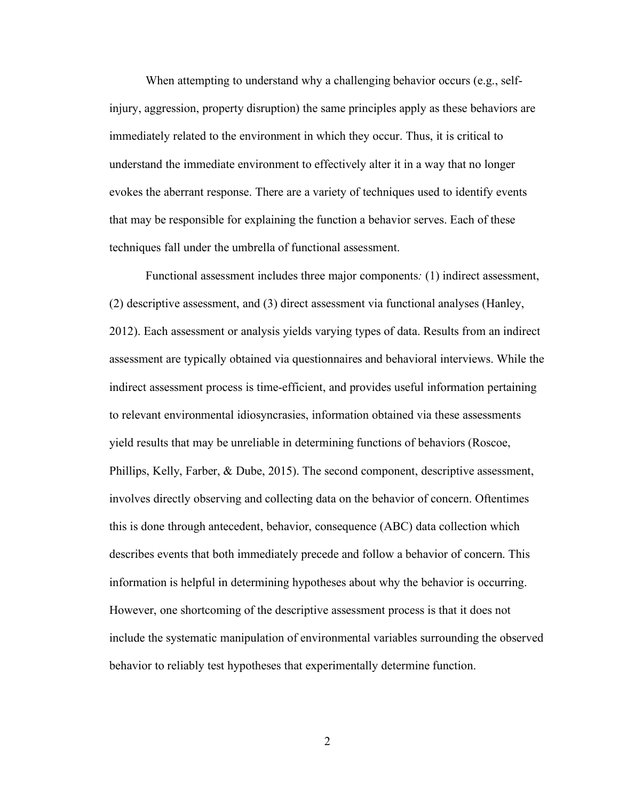When attempting to understand why a challenging behavior occurs (e.g., selfinjury, aggression, property disruption) the same principles apply as these behaviors are immediately related to the environment in which they occur. Thus, it is critical to understand the immediate environment to effectively alter it in a way that no longer evokes the aberrant response. There are a variety of techniques used to identify events that may be responsible for explaining the function a behavior serves. Each of these techniques fall under the umbrella of functional assessment.

Functional assessment includes three major components*:* (1) indirect assessment, (2) descriptive assessment, and (3) direct assessment via functional analyses (Hanley, 2012). Each assessment or analysis yields varying types of data. Results from an indirect assessment are typically obtained via questionnaires and behavioral interviews. While the indirect assessment process is time-efficient, and provides useful information pertaining to relevant environmental idiosyncrasies, information obtained via these assessments yield results that may be unreliable in determining functions of behaviors (Roscoe, Phillips, Kelly, Farber, & Dube, 2015). The second component, descriptive assessment, involves directly observing and collecting data on the behavior of concern. Oftentimes this is done through antecedent, behavior, consequence (ABC) data collection which describes events that both immediately precede and follow a behavior of concern. This information is helpful in determining hypotheses about why the behavior is occurring. However, one shortcoming of the descriptive assessment process is that it does not include the systematic manipulation of environmental variables surrounding the observed behavior to reliably test hypotheses that experimentally determine function.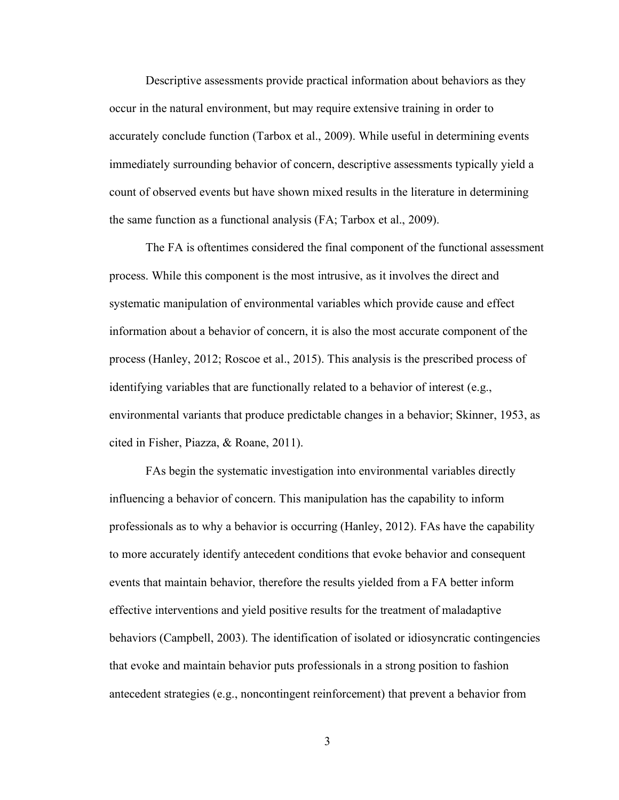Descriptive assessments provide practical information about behaviors as they occur in the natural environment, but may require extensive training in order to accurately conclude function (Tarbox et al., 2009). While useful in determining events immediately surrounding behavior of concern, descriptive assessments typically yield a count of observed events but have shown mixed results in the literature in determining the same function as a functional analysis (FA; Tarbox et al., 2009).

The FA is oftentimes considered the final component of the functional assessment process. While this component is the most intrusive, as it involves the direct and systematic manipulation of environmental variables which provide cause and effect information about a behavior of concern, it is also the most accurate component of the process (Hanley, 2012; Roscoe et al., 2015). This analysis is the prescribed process of identifying variables that are functionally related to a behavior of interest (e.g., environmental variants that produce predictable changes in a behavior; Skinner, 1953, as cited in Fisher, Piazza, & Roane, 2011).

FAs begin the systematic investigation into environmental variables directly influencing a behavior of concern. This manipulation has the capability to inform professionals as to why a behavior is occurring (Hanley, 2012). FAs have the capability to more accurately identify antecedent conditions that evoke behavior and consequent events that maintain behavior, therefore the results yielded from a FA better inform effective interventions and yield positive results for the treatment of maladaptive behaviors (Campbell, 2003). The identification of isolated or idiosyncratic contingencies that evoke and maintain behavior puts professionals in a strong position to fashion antecedent strategies (e.g., noncontingent reinforcement) that prevent a behavior from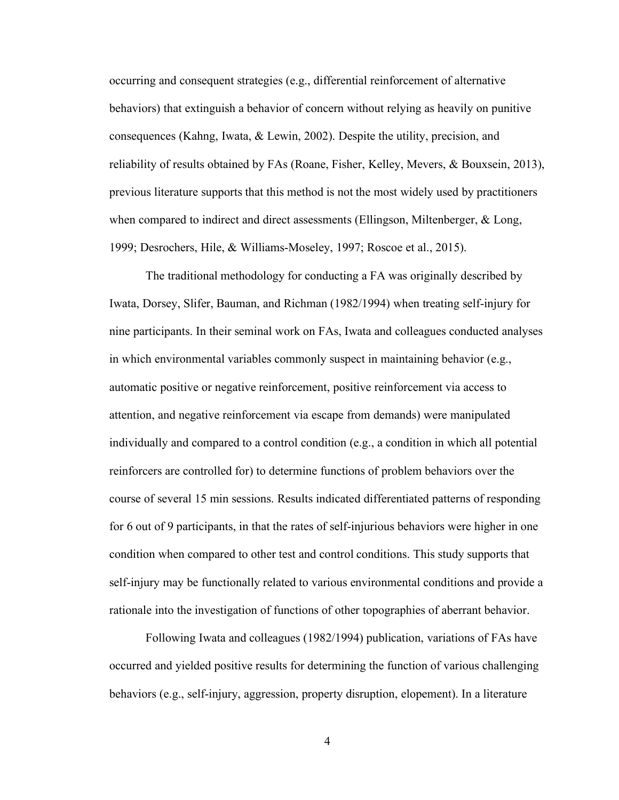occurring and consequent strategies (e.g., differential reinforcement of alternative behaviors) that extinguish a behavior of concern without relying as heavily on punitive consequences (Kahng, Iwata, & Lewin, 2002). Despite the utility, precision, and reliability of results obtained by FAs (Roane, Fisher, Kelley, Mevers, & Bouxsein, 2013), previous literature supports that this method is not the most widely used by practitioners when compared to indirect and direct assessments (Ellingson, Miltenberger, & Long, 1999; Desrochers, Hile, & Williams-Moseley, 1997; Roscoe et al., 2015).

The traditional methodology for conducting a FA was originally described by Iwata, Dorsey, Slifer, Bauman, and Richman (1982/1994) when treating self-injury for nine participants. In their seminal work on FAs, Iwata and colleagues conducted analyses in which environmental variables commonly suspect in maintaining behavior (e.g., automatic positive or negative reinforcement, positive reinforcement via access to attention, and negative reinforcement via escape from demands) were manipulated individually and compared to a control condition (e.g., a condition in which all potential reinforcers are controlled for) to determine functions of problem behaviors over the course of several 15 min sessions. Results indicated differentiated patterns of responding for 6 out of 9 participants, in that the rates of self-injurious behaviors were higher in one condition when compared to other test and control conditions. This study supports that self-injury may be functionally related to various environmental conditions and provide a rationale into the investigation of functions of other topographies of aberrant behavior.

Following Iwata and colleagues (1982/1994) publication, variations of FAs have occurred and yielded positive results for determining the function of various challenging behaviors (e.g., self-injury, aggression, property disruption, elopement). In a literature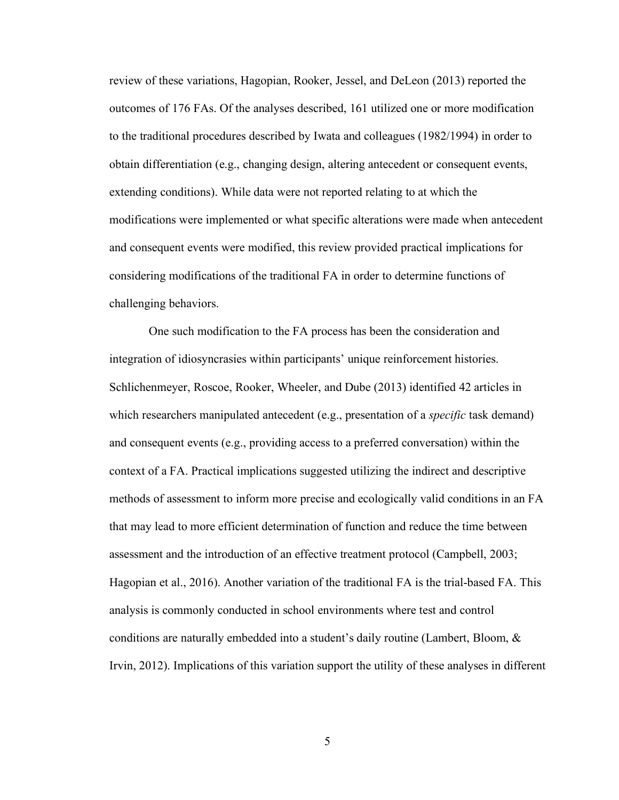review of these variations, Hagopian, Rooker, Jessel, and DeLeon (2013) reported the outcomes of 176 FAs. Of the analyses described, 161 utilized one or more modification to the traditional procedures described by Iwata and colleagues (1982/1994) in order to obtain differentiation (e.g., changing design, altering antecedent or consequent events, extending conditions). While data were not reported relating to at which the modifications were implemented or what specific alterations were made when antecedent and consequent events were modified, this review provided practical implications for considering modifications of the traditional FA in order to determine functions of challenging behaviors.

One such modification to the FA process has been the consideration and integration of idiosyncrasies within participants' unique reinforcement histories. Schlichenmeyer, Roscoe, Rooker, Wheeler, and Dube (2013) identified 42 articles in which researchers manipulated antecedent (e.g., presentation of a *specific* task demand) and consequent events (e.g., providing access to a preferred conversation) within the context of a FA. Practical implications suggested utilizing the indirect and descriptive methods of assessment to inform more precise and ecologically valid conditions in an FA that may lead to more efficient determination of function and reduce the time between assessment and the introduction of an effective treatment protocol (Campbell, 2003; Hagopian et al., 2016). Another variation of the traditional FA is the trial-based FA. This analysis is commonly conducted in school environments where test and control conditions are naturally embedded into a student's daily routine (Lambert, Bloom, & Irvin, 2012). Implications of this variation support the utility of these analyses in different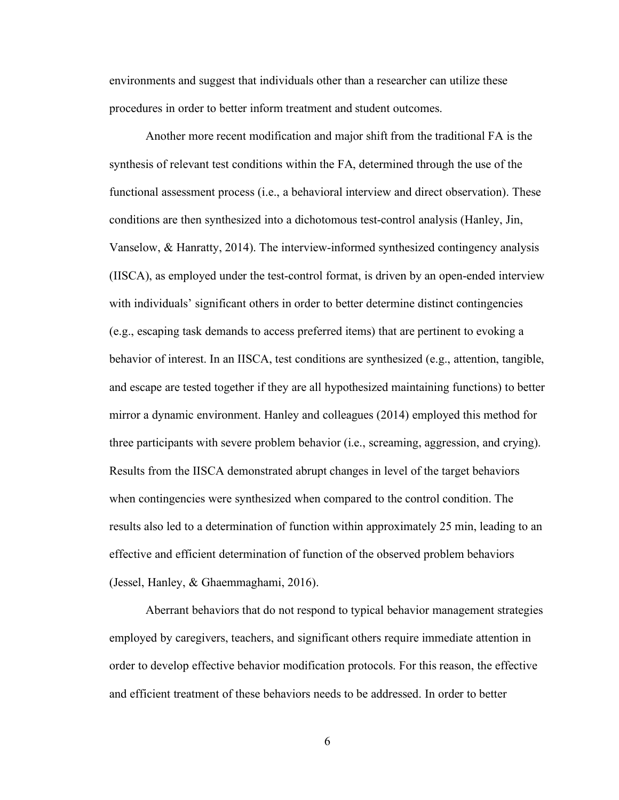environments and suggest that individuals other than a researcher can utilize these procedures in order to better inform treatment and student outcomes.

Another more recent modification and major shift from the traditional FA is the synthesis of relevant test conditions within the FA, determined through the use of the functional assessment process (i.e., a behavioral interview and direct observation). These conditions are then synthesized into a dichotomous test-control analysis (Hanley, Jin, Vanselow, & Hanratty, 2014). The interview-informed synthesized contingency analysis (IISCA), as employed under the test-control format, is driven by an open-ended interview with individuals' significant others in order to better determine distinct contingencies (e.g., escaping task demands to access preferred items) that are pertinent to evoking a behavior of interest. In an IISCA, test conditions are synthesized (e.g., attention, tangible, and escape are tested together if they are all hypothesized maintaining functions) to better mirror a dynamic environment. Hanley and colleagues (2014) employed this method for three participants with severe problem behavior (i.e., screaming, aggression, and crying). Results from the IISCA demonstrated abrupt changes in level of the target behaviors when contingencies were synthesized when compared to the control condition. The results also led to a determination of function within approximately 25 min, leading to an effective and efficient determination of function of the observed problem behaviors (Jessel, Hanley, & Ghaemmaghami, 2016).

Aberrant behaviors that do not respond to typical behavior management strategies employed by caregivers, teachers, and significant others require immediate attention in order to develop effective behavior modification protocols. For this reason, the effective and efficient treatment of these behaviors needs to be addressed. In order to better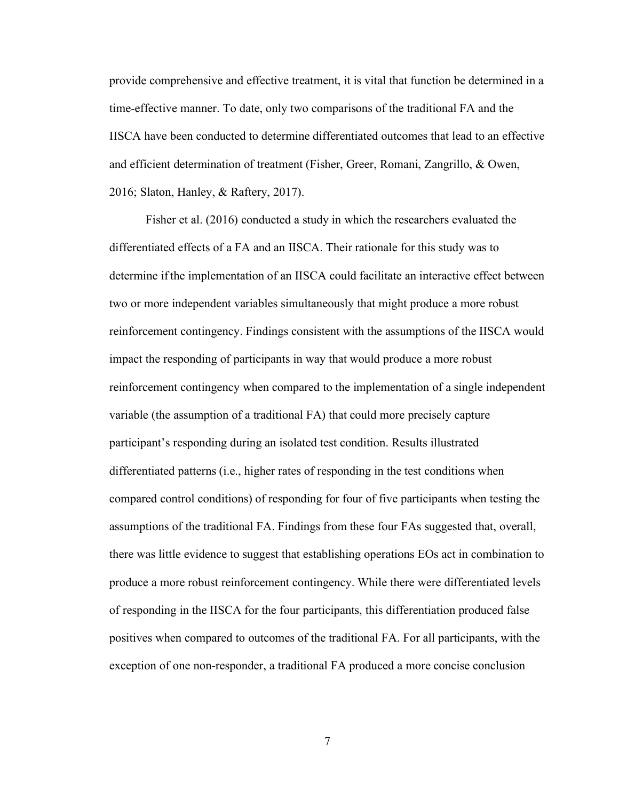provide comprehensive and effective treatment, it is vital that function be determined in a time-effective manner. To date, only two comparisons of the traditional FA and the IISCA have been conducted to determine differentiated outcomes that lead to an effective and efficient determination of treatment (Fisher, Greer, Romani, Zangrillo, & Owen, 2016; Slaton, Hanley, & Raftery, 2017).

Fisher et al. (2016) conducted a study in which the researchers evaluated the differentiated effects of a FA and an IISCA. Their rationale for this study was to determine ifthe implementation of an IISCA could facilitate an interactive effect between two or more independent variables simultaneously that might produce a more robust reinforcement contingency. Findings consistent with the assumptions of the IISCA would impact the responding of participants in way that would produce a more robust reinforcement contingency when compared to the implementation of a single independent variable (the assumption of a traditional FA) that could more precisely capture participant's responding during an isolated test condition. Results illustrated differentiated patterns (i.e., higher rates of responding in the test conditions when compared control conditions) of responding for four of five participants when testing the assumptions of the traditional FA. Findings from these four FAs suggested that, overall, there was little evidence to suggest that establishing operations EOs act in combination to produce a more robust reinforcement contingency. While there were differentiated levels of responding in the IISCA for the four participants, this differentiation produced false positives when compared to outcomes of the traditional FA. For all participants, with the exception of one non-responder, a traditional FA produced a more concise conclusion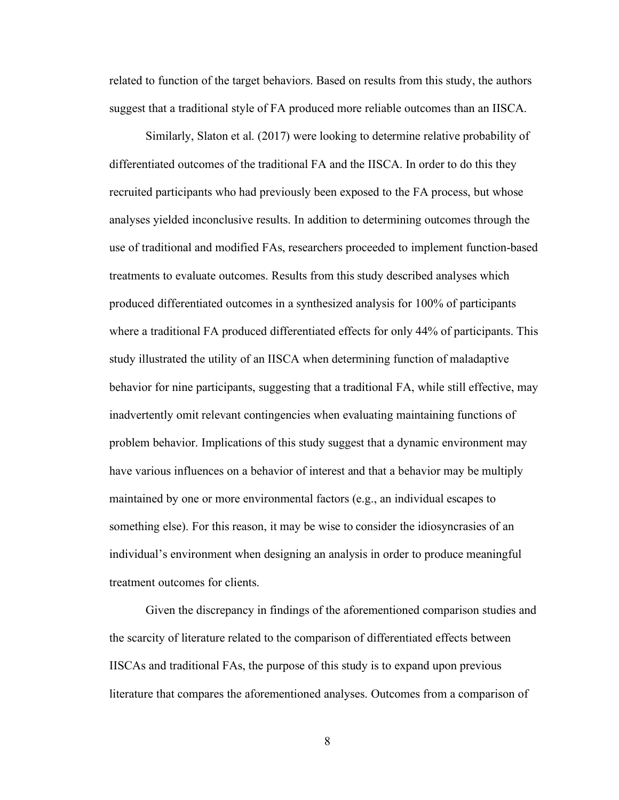related to function of the target behaviors. Based on results from this study, the authors suggest that a traditional style of FA produced more reliable outcomes than an IISCA.

Similarly, Slaton et al. (2017) were looking to determine relative probability of differentiated outcomes of the traditional FA and the IISCA. In order to do this they recruited participants who had previously been exposed to the FA process, but whose analyses yielded inconclusive results. In addition to determining outcomes through the use of traditional and modified FAs, researchers proceeded to implement function-based treatments to evaluate outcomes. Results from this study described analyses which produced differentiated outcomes in a synthesized analysis for 100% of participants where a traditional FA produced differentiated effects for only 44% of participants. This study illustrated the utility of an IISCA when determining function of maladaptive behavior for nine participants, suggesting that a traditional FA, while still effective, may inadvertently omit relevant contingencies when evaluating maintaining functions of problem behavior. Implications of this study suggest that a dynamic environment may have various influences on a behavior of interest and that a behavior may be multiply maintained by one or more environmental factors (e.g., an individual escapes to something else). For this reason, it may be wise to consider the idiosyncrasies of an individual's environment when designing an analysis in order to produce meaningful treatment outcomes for clients.

Given the discrepancy in findings of the aforementioned comparison studies and the scarcity of literature related to the comparison of differentiated effects between IISCAs and traditional FAs, the purpose of this study is to expand upon previous literature that compares the aforementioned analyses. Outcomes from a comparison of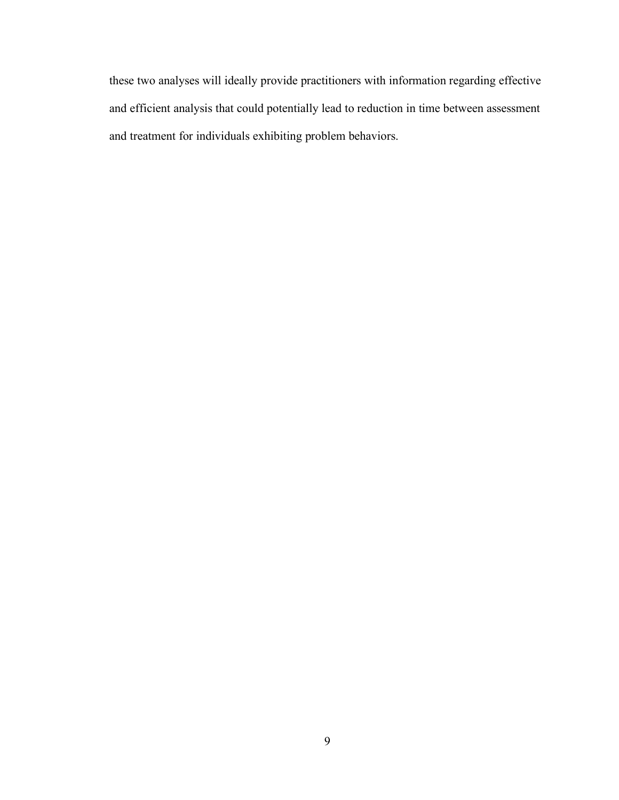these two analyses will ideally provide practitioners with information regarding effective and efficient analysis that could potentially lead to reduction in time between assessment and treatment for individuals exhibiting problem behaviors.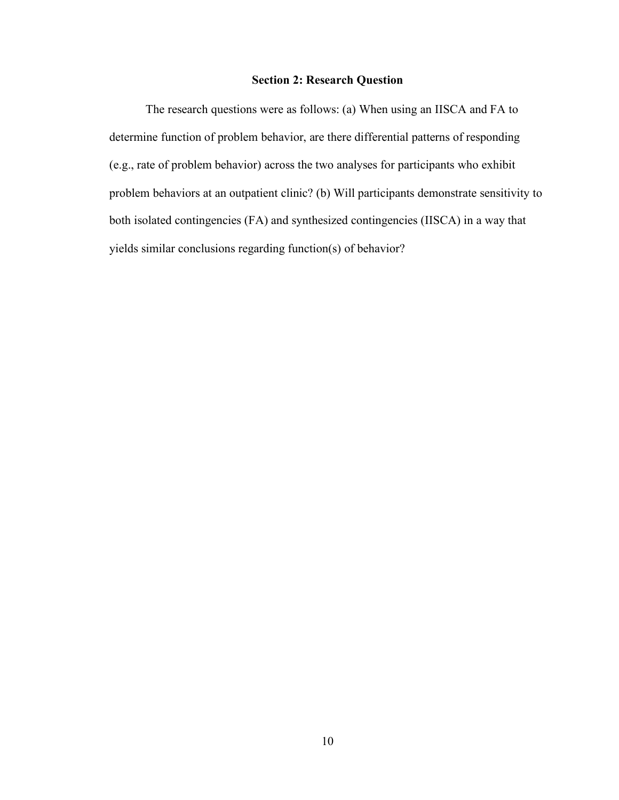# **Section 2: Research Question**

The research questions were as follows: (a) When using an IISCA and FA to determine function of problem behavior, are there differential patterns of responding (e.g., rate of problem behavior) across the two analyses for participants who exhibit problem behaviors at an outpatient clinic? (b) Will participants demonstrate sensitivity to both isolated contingencies (FA) and synthesized contingencies (IISCA) in a way that yields similar conclusions regarding function(s) of behavior?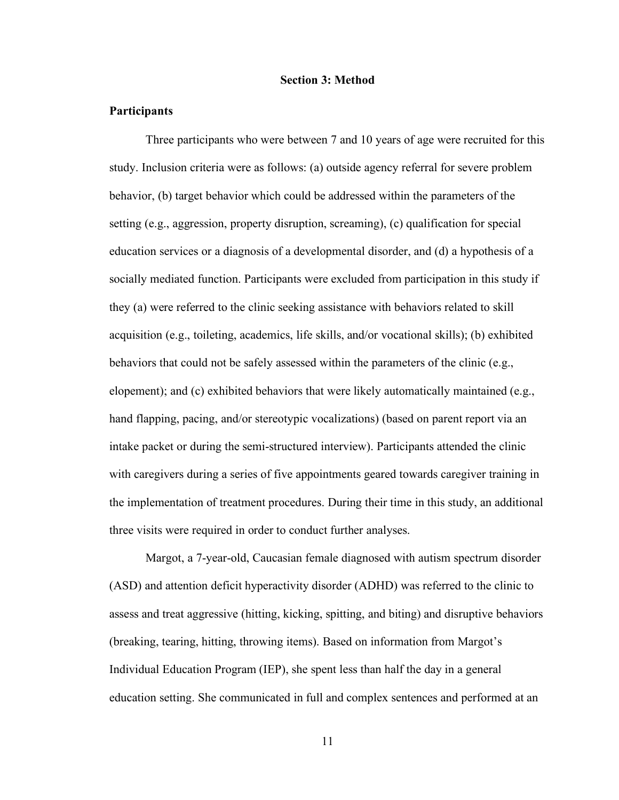### **Section 3: Method**

### **Participants**

Three participants who were between 7 and 10 years of age were recruited for this study. Inclusion criteria were as follows: (a) outside agency referral for severe problem behavior, (b) target behavior which could be addressed within the parameters of the setting (e.g., aggression, property disruption, screaming), (c) qualification for special education services or a diagnosis of a developmental disorder, and (d) a hypothesis of a socially mediated function. Participants were excluded from participation in this study if they (a) were referred to the clinic seeking assistance with behaviors related to skill acquisition (e.g., toileting, academics, life skills, and/or vocational skills); (b) exhibited behaviors that could not be safely assessed within the parameters of the clinic (e.g., elopement); and (c) exhibited behaviors that were likely automatically maintained (e.g., hand flapping, pacing, and/or stereotypic vocalizations) (based on parent report via an intake packet or during the semi-structured interview). Participants attended the clinic with caregivers during a series of five appointments geared towards caregiver training in the implementation of treatment procedures. During their time in this study, an additional three visits were required in order to conduct further analyses.

Margot, a 7-year-old, Caucasian female diagnosed with autism spectrum disorder (ASD) and attention deficit hyperactivity disorder (ADHD) was referred to the clinic to assess and treat aggressive (hitting, kicking, spitting, and biting) and disruptive behaviors (breaking, tearing, hitting, throwing items). Based on information from Margot's Individual Education Program (IEP), she spent less than half the day in a general education setting. She communicated in full and complex sentences and performed at an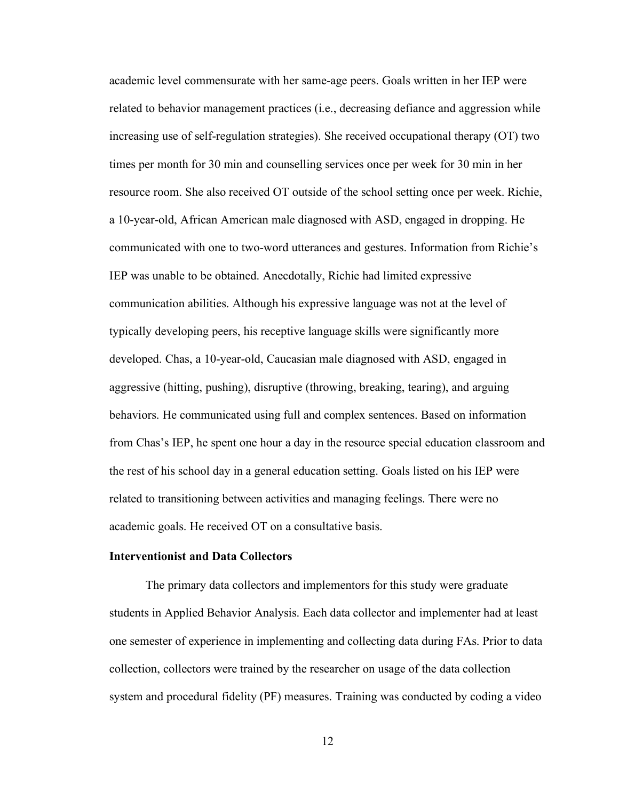academic level commensurate with her same-age peers. Goals written in her IEP were related to behavior management practices (i.e., decreasing defiance and aggression while increasing use of self-regulation strategies). She received occupational therapy (OT) two times per month for 30 min and counselling services once per week for 30 min in her resource room. She also received OT outside of the school setting once per week. Richie, a 10-year-old, African American male diagnosed with ASD, engaged in dropping. He communicated with one to two-word utterances and gestures. Information from Richie's IEP was unable to be obtained. Anecdotally, Richie had limited expressive communication abilities. Although his expressive language was not at the level of typically developing peers, his receptive language skills were significantly more developed. Chas, a 10-year-old, Caucasian male diagnosed with ASD, engaged in aggressive (hitting, pushing), disruptive (throwing, breaking, tearing), and arguing behaviors. He communicated using full and complex sentences. Based on information from Chas's IEP, he spent one hour a day in the resource special education classroom and the rest of his school day in a general education setting. Goals listed on his IEP were related to transitioning between activities and managing feelings. There were no academic goals. He received OT on a consultative basis.

### **Interventionist and Data Collectors**

The primary data collectors and implementors for this study were graduate students in Applied Behavior Analysis. Each data collector and implementer had at least one semester of experience in implementing and collecting data during FAs. Prior to data collection, collectors were trained by the researcher on usage of the data collection system and procedural fidelity (PF) measures. Training was conducted by coding a video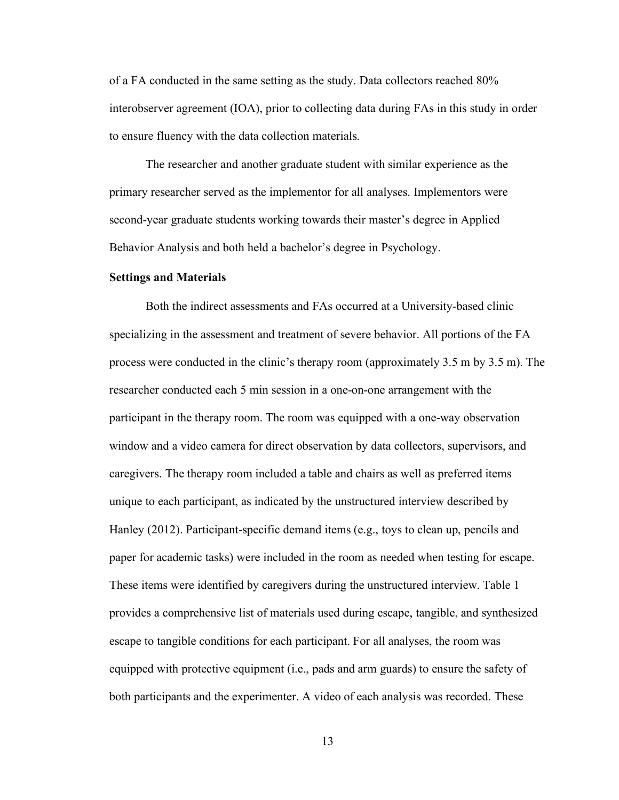of a FA conducted in the same setting as the study. Data collectors reached 80% interobserver agreement (IOA), prior to collecting data during FAs in this study in order to ensure fluency with the data collection materials.

The researcher and another graduate student with similar experience as the primary researcher served as the implementor for all analyses. Implementors were second-year graduate students working towards their master's degree in Applied Behavior Analysis and both held a bachelor's degree in Psychology.

#### **Settings and Materials**

Both the indirect assessments and FAs occurred at a University-based clinic specializing in the assessment and treatment of severe behavior. All portions of the FA process were conducted in the clinic's therapy room (approximately 3.5 m by 3.5 m). The researcher conducted each 5 min session in a one-on-one arrangement with the participant in the therapy room. The room was equipped with a one-way observation window and a video camera for direct observation by data collectors, supervisors, and caregivers. The therapy room included a table and chairs as well as preferred items unique to each participant, as indicated by the unstructured interview described by Hanley (2012). Participant-specific demand items (e.g., toys to clean up, pencils and paper for academic tasks) were included in the room as needed when testing for escape. These items were identified by caregivers during the unstructured interview. Table 1 provides a comprehensive list of materials used during escape, tangible, and synthesized escape to tangible conditions for each participant. For all analyses, the room was equipped with protective equipment (i.e., pads and arm guards) to ensure the safety of both participants and the experimenter. A video of each analysis was recorded. These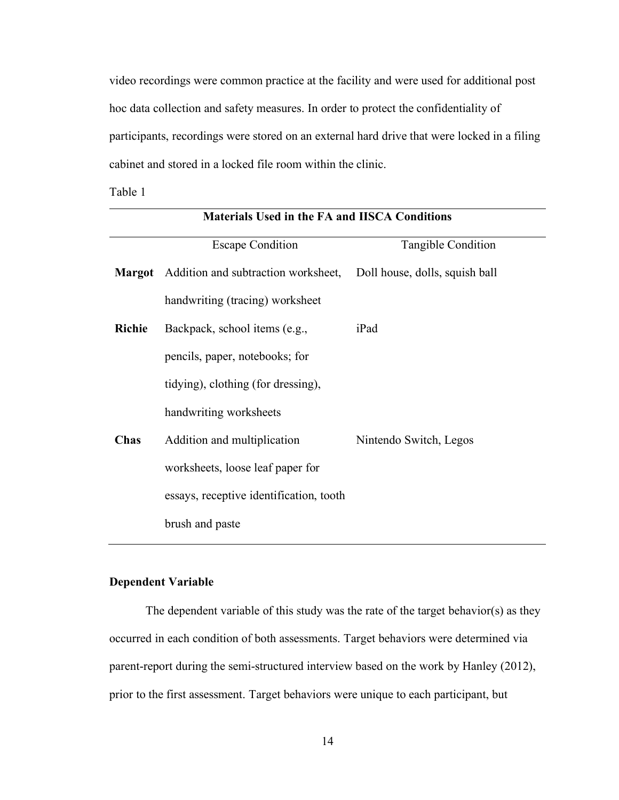video recordings were common practice at the facility and were used for additional post hoc data collection and safety measures. In order to protect the confidentiality of participants, recordings were stored on an external hard drive that were locked in a filing cabinet and stored in a locked file room within the clinic.

Table 1

| <b>Materials Used in the FA and IISCA Conditions</b> |                                         |                                |  |
|------------------------------------------------------|-----------------------------------------|--------------------------------|--|
|                                                      | <b>Escape Condition</b>                 | Tangible Condition             |  |
| <b>Margot</b>                                        | Addition and subtraction worksheet,     | Doll house, dolls, squish ball |  |
|                                                      | handwriting (tracing) worksheet         |                                |  |
| <b>Richie</b>                                        | Backpack, school items (e.g.,           | iPad                           |  |
|                                                      | pencils, paper, notebooks; for          |                                |  |
|                                                      | tidying), clothing (for dressing),      |                                |  |
|                                                      | handwriting worksheets                  |                                |  |
| Chas                                                 | Addition and multiplication             | Nintendo Switch, Legos         |  |
|                                                      | worksheets, loose leaf paper for        |                                |  |
|                                                      | essays, receptive identification, tooth |                                |  |
|                                                      | brush and paste                         |                                |  |

### **Dependent Variable**

The dependent variable of this study was the rate of the target behavior(s) as they occurred in each condition of both assessments. Target behaviors were determined via parent-report during the semi-structured interview based on the work by Hanley (2012), prior to the first assessment. Target behaviors were unique to each participant, but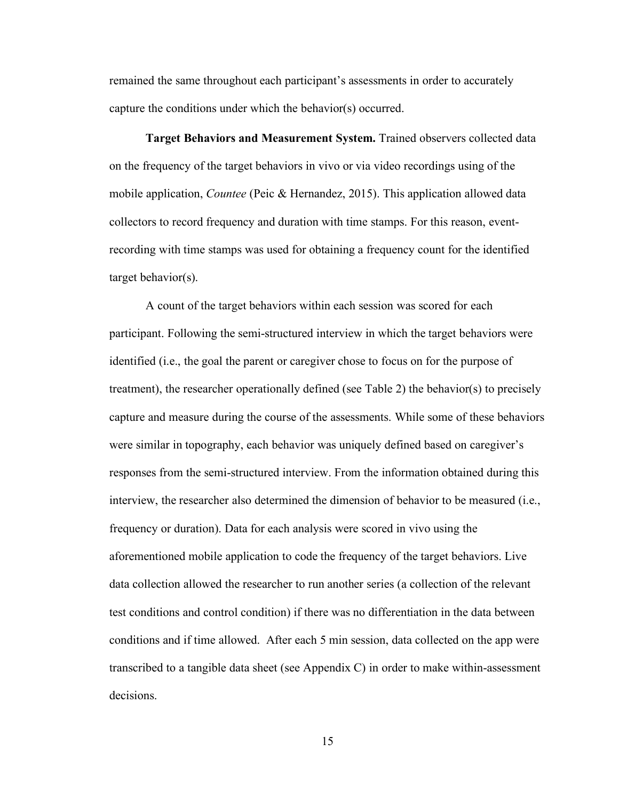remained the same throughout each participant's assessments in order to accurately capture the conditions under which the behavior(s) occurred.

**Target Behaviors and Measurement System.** Trained observers collected data on the frequency of the target behaviors in vivo or via video recordings using of the mobile application, *Countee* (Peic & Hernandez, 2015). This application allowed data collectors to record frequency and duration with time stamps. For this reason, eventrecording with time stamps was used for obtaining a frequency count for the identified target behavior(s).

A count of the target behaviors within each session was scored for each participant. Following the semi-structured interview in which the target behaviors were identified (i.e., the goal the parent or caregiver chose to focus on for the purpose of treatment), the researcher operationally defined (see Table 2) the behavior(s) to precisely capture and measure during the course of the assessments. While some of these behaviors were similar in topography, each behavior was uniquely defined based on caregiver's responses from the semi-structured interview. From the information obtained during this interview, the researcher also determined the dimension of behavior to be measured (i.e., frequency or duration). Data for each analysis were scored in vivo using the aforementioned mobile application to code the frequency of the target behaviors. Live data collection allowed the researcher to run another series (a collection of the relevant test conditions and control condition) if there was no differentiation in the data between conditions and if time allowed. After each 5 min session, data collected on the app were transcribed to a tangible data sheet (see Appendix C) in order to make within-assessment decisions.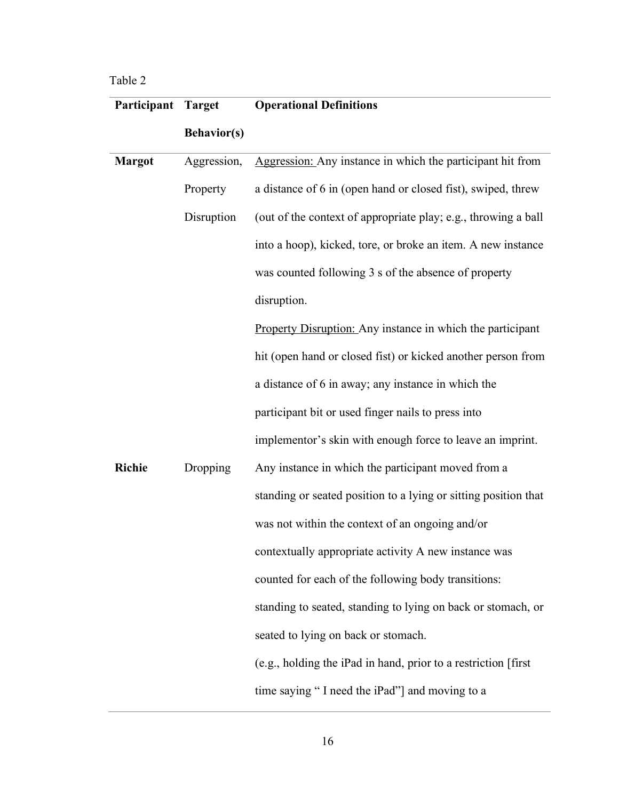# Table 2

| Participant Target |                    | <b>Operational Definitions</b>                                    |  |
|--------------------|--------------------|-------------------------------------------------------------------|--|
|                    | <b>Behavior(s)</b> |                                                                   |  |
| <b>Margot</b>      | Aggression,        | Aggression: Any instance in which the participant hit from        |  |
|                    | Property           | a distance of 6 in (open hand or closed fist), swiped, threw      |  |
|                    | Disruption         | (out of the context of appropriate play; e.g., throwing a ball    |  |
|                    |                    | into a hoop), kicked, tore, or broke an item. A new instance      |  |
|                    |                    | was counted following 3 s of the absence of property              |  |
|                    |                    | disruption.                                                       |  |
|                    |                    | <b>Property Disruption:</b> Any instance in which the participant |  |
|                    |                    | hit (open hand or closed fist) or kicked another person from      |  |
|                    |                    | a distance of 6 in away; any instance in which the                |  |
|                    |                    | participant bit or used finger nails to press into                |  |
|                    |                    | implementor's skin with enough force to leave an imprint.         |  |
| <b>Richie</b>      | Dropping           | Any instance in which the participant moved from a                |  |
|                    |                    | standing or seated position to a lying or sitting position that   |  |
|                    |                    | was not within the context of an ongoing and/or                   |  |
|                    |                    | contextually appropriate activity A new instance was              |  |
|                    |                    | counted for each of the following body transitions:               |  |
|                    |                    | standing to seated, standing to lying on back or stomach, or      |  |
|                    |                    | seated to lying on back or stomach.                               |  |
|                    |                    | (e.g., holding the iPad in hand, prior to a restriction [first    |  |
|                    |                    | time saying "I need the iPad"] and moving to a                    |  |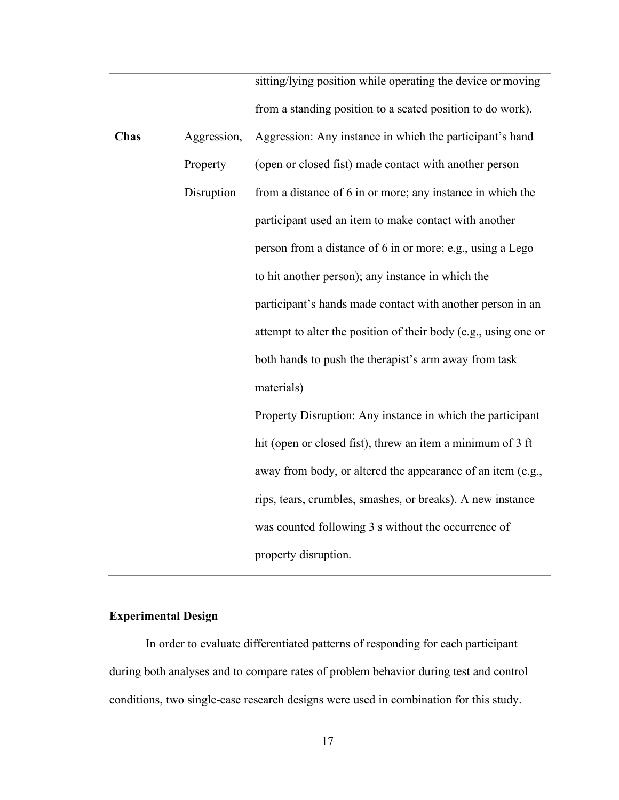sitting/lying position while operating the device or moving from a standing position to a seated position to do work). **Chas** Aggression, Property Disruption Aggression: Any instance in which the participant's hand (open or closed fist) made contact with another person from a distance of 6 in or more; any instance in which the participant used an item to make contact with another person from a distance of 6 in or more; e.g., using a Lego to hit another person); any instance in which the participant's hands made contact with another person in an attempt to alter the position of their body (e.g., using one or both hands to push the therapist's arm away from task materials) Property Disruption: Any instance in which the participant hit (open or closed fist), threw an item a minimum of 3 ft away from body, or altered the appearance of an item (e.g., rips, tears, crumbles, smashes, or breaks). A new instance was counted following 3 s without the occurrence of

property disruption.

### **Experimental Design**

In order to evaluate differentiated patterns of responding for each participant during both analyses and to compare rates of problem behavior during test and control conditions, two single-case research designs were used in combination for this study.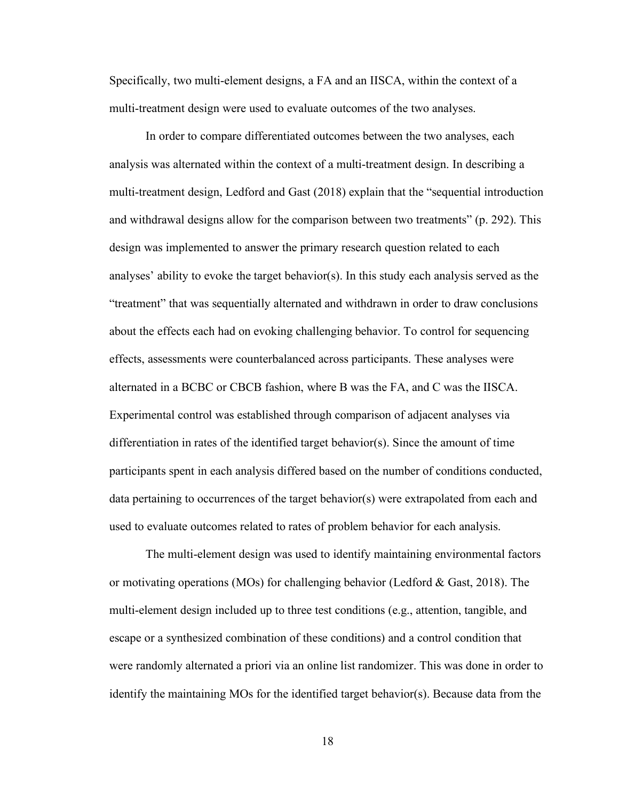Specifically, two multi-element designs, a FA and an IISCA, within the context of a multi-treatment design were used to evaluate outcomes of the two analyses.

In order to compare differentiated outcomes between the two analyses, each analysis was alternated within the context of a multi-treatment design. In describing a multi-treatment design, Ledford and Gast (2018) explain that the "sequential introduction and withdrawal designs allow for the comparison between two treatments" (p. 292). This design was implemented to answer the primary research question related to each analyses' ability to evoke the target behavior(s). In this study each analysis served as the "treatment" that was sequentially alternated and withdrawn in order to draw conclusions about the effects each had on evoking challenging behavior. To control for sequencing effects, assessments were counterbalanced across participants. These analyses were alternated in a BCBC or CBCB fashion, where B was the FA, and C was the IISCA. Experimental control was established through comparison of adjacent analyses via differentiation in rates of the identified target behavior(s). Since the amount of time participants spent in each analysis differed based on the number of conditions conducted, data pertaining to occurrences of the target behavior(s) were extrapolated from each and used to evaluate outcomes related to rates of problem behavior for each analysis.

The multi-element design was used to identify maintaining environmental factors or motivating operations (MOs) for challenging behavior (Ledford & Gast, 2018). The multi-element design included up to three test conditions (e.g., attention, tangible, and escape or a synthesized combination of these conditions) and a control condition that were randomly alternated a priori via an online list randomizer. This was done in order to identify the maintaining MOs for the identified target behavior(s). Because data from the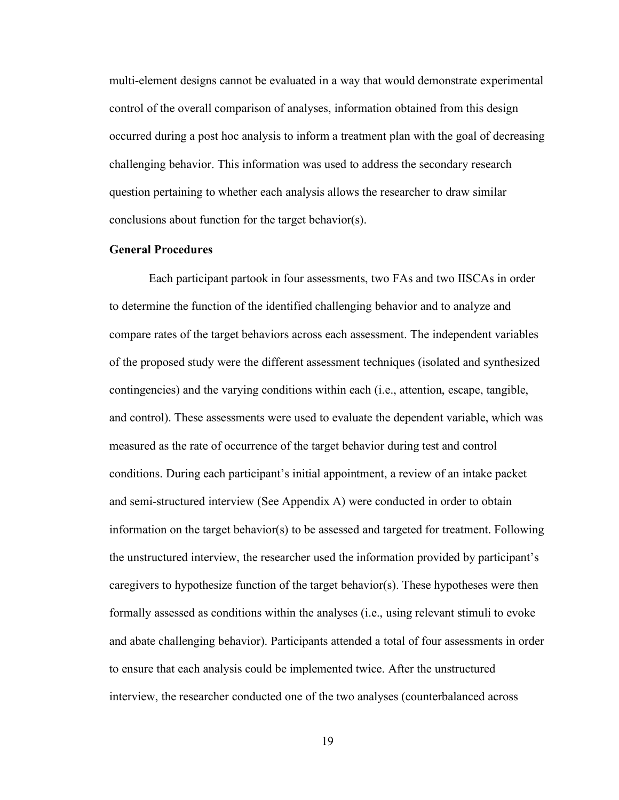multi-element designs cannot be evaluated in a way that would demonstrate experimental control of the overall comparison of analyses, information obtained from this design occurred during a post hoc analysis to inform a treatment plan with the goal of decreasing challenging behavior. This information was used to address the secondary research question pertaining to whether each analysis allows the researcher to draw similar conclusions about function for the target behavior(s).

### **General Procedures**

Each participant partook in four assessments, two FAs and two IISCAs in order to determine the function of the identified challenging behavior and to analyze and compare rates of the target behaviors across each assessment. The independent variables of the proposed study were the different assessment techniques (isolated and synthesized contingencies) and the varying conditions within each (i.e., attention, escape, tangible, and control). These assessments were used to evaluate the dependent variable, which was measured as the rate of occurrence of the target behavior during test and control conditions. During each participant's initial appointment, a review of an intake packet and semi-structured interview (See Appendix A) were conducted in order to obtain information on the target behavior(s) to be assessed and targeted for treatment. Following the unstructured interview, the researcher used the information provided by participant's caregivers to hypothesize function of the target behavior(s). These hypotheses were then formally assessed as conditions within the analyses (i.e., using relevant stimuli to evoke and abate challenging behavior). Participants attended a total of four assessments in order to ensure that each analysis could be implemented twice. After the unstructured interview, the researcher conducted one of the two analyses (counterbalanced across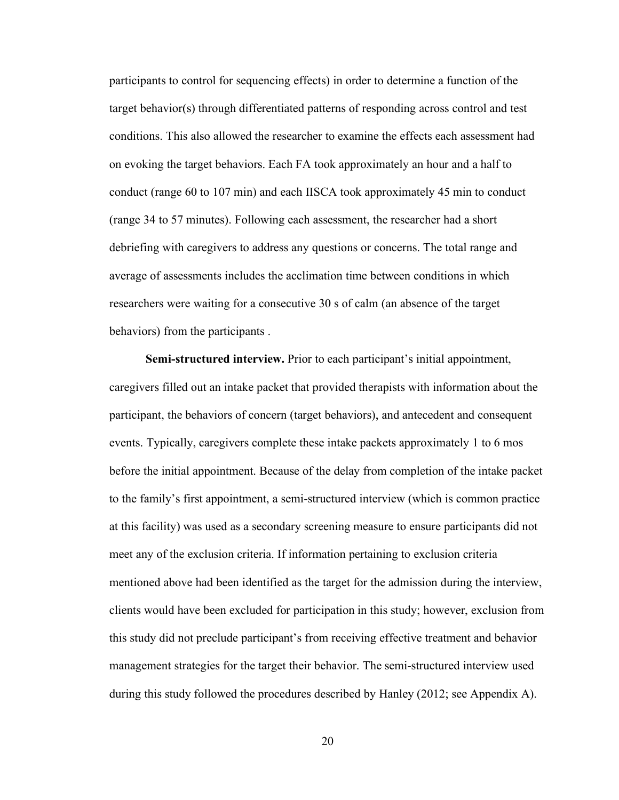participants to control for sequencing effects) in order to determine a function of the target behavior(s) through differentiated patterns of responding across control and test conditions. This also allowed the researcher to examine the effects each assessment had on evoking the target behaviors. Each FA took approximately an hour and a half to conduct (range 60 to 107 min) and each IISCA took approximately 45 min to conduct (range 34 to 57 minutes). Following each assessment, the researcher had a short debriefing with caregivers to address any questions or concerns. The total range and average of assessments includes the acclimation time between conditions in which researchers were waiting for a consecutive 30 s of calm (an absence of the target behaviors) from the participants .

**Semi-structured interview.** Prior to each participant's initial appointment, caregivers filled out an intake packet that provided therapists with information about the participant, the behaviors of concern (target behaviors), and antecedent and consequent events. Typically, caregivers complete these intake packets approximately 1 to 6 mos before the initial appointment. Because of the delay from completion of the intake packet to the family's first appointment, a semi-structured interview (which is common practice at this facility) was used as a secondary screening measure to ensure participants did not meet any of the exclusion criteria. If information pertaining to exclusion criteria mentioned above had been identified as the target for the admission during the interview, clients would have been excluded for participation in this study; however, exclusion from this study did not preclude participant's from receiving effective treatment and behavior management strategies for the target their behavior. The semi-structured interview used during this study followed the procedures described by Hanley (2012; see Appendix A).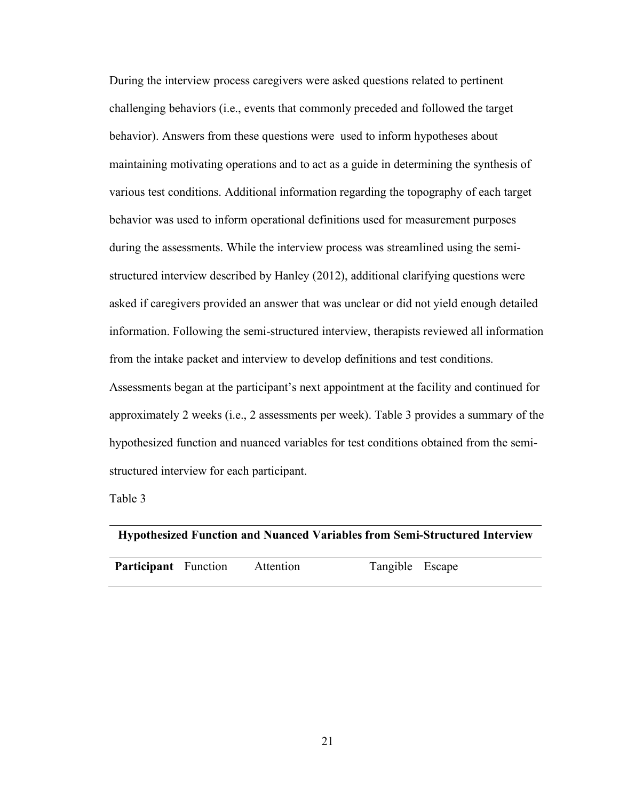During the interview process caregivers were asked questions related to pertinent challenging behaviors (i.e., events that commonly preceded and followed the target behavior). Answers from these questions were used to inform hypotheses about maintaining motivating operations and to act as a guide in determining the synthesis of various test conditions. Additional information regarding the topography of each target behavior was used to inform operational definitions used for measurement purposes during the assessments. While the interview process was streamlined using the semistructured interview described by Hanley (2012), additional clarifying questions were asked if caregivers provided an answer that was unclear or did not yield enough detailed information. Following the semi-structured interview, therapists reviewed all information from the intake packet and interview to develop definitions and test conditions. Assessments began at the participant's next appointment at the facility and continued for approximately 2 weeks (i.e., 2 assessments per week). Table 3 provides a summary of the hypothesized function and nuanced variables for test conditions obtained from the semistructured interview for each participant.

Table 3

|                             |           |                 | <b>Hypothesized Function and Nuanced Variables from Semi-Structured Interview</b> |
|-----------------------------|-----------|-----------------|-----------------------------------------------------------------------------------|
| <b>Participant</b> Function | Attention | Tangible Escape |                                                                                   |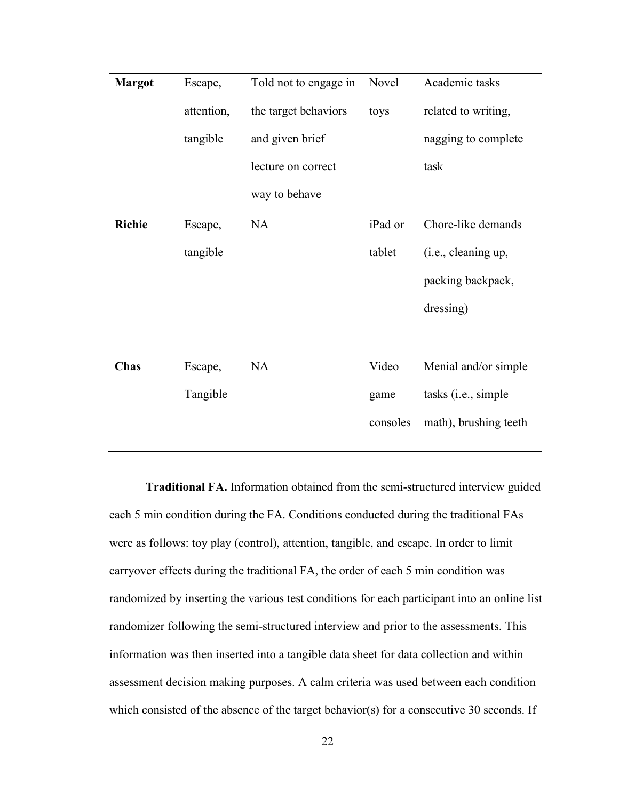| <b>Margot</b> | Escape,    | Told not to engage in | Novel    | Academic tasks        |
|---------------|------------|-----------------------|----------|-----------------------|
|               | attention, | the target behaviors  | toys     | related to writing,   |
|               | tangible   | and given brief       |          | nagging to complete   |
|               |            | lecture on correct    |          | task                  |
|               |            | way to behave         |          |                       |
| <b>Richie</b> | Escape,    | <b>NA</b>             | iPad or  | Chore-like demands    |
|               | tangible   |                       | tablet   | (i.e., cleaning up,   |
|               |            |                       |          | packing backpack,     |
|               |            |                       |          | dressing)             |
|               |            |                       |          |                       |
| Chas          | Escape,    | <b>NA</b>             | Video    | Menial and/or simple  |
|               | Tangible   |                       | game     | tasks (i.e., simple   |
|               |            |                       | consoles | math), brushing teeth |
|               |            |                       |          |                       |

**Traditional FA.** Information obtained from the semi-structured interview guided each 5 min condition during the FA. Conditions conducted during the traditional FAs were as follows: toy play (control), attention, tangible, and escape. In order to limit carryover effects during the traditional FA, the order of each 5 min condition was randomized by inserting the various test conditions for each participant into an online list randomizer following the semi-structured interview and prior to the assessments. This information was then inserted into a tangible data sheet for data collection and within assessment decision making purposes. A calm criteria was used between each condition which consisted of the absence of the target behavior(s) for a consecutive 30 seconds. If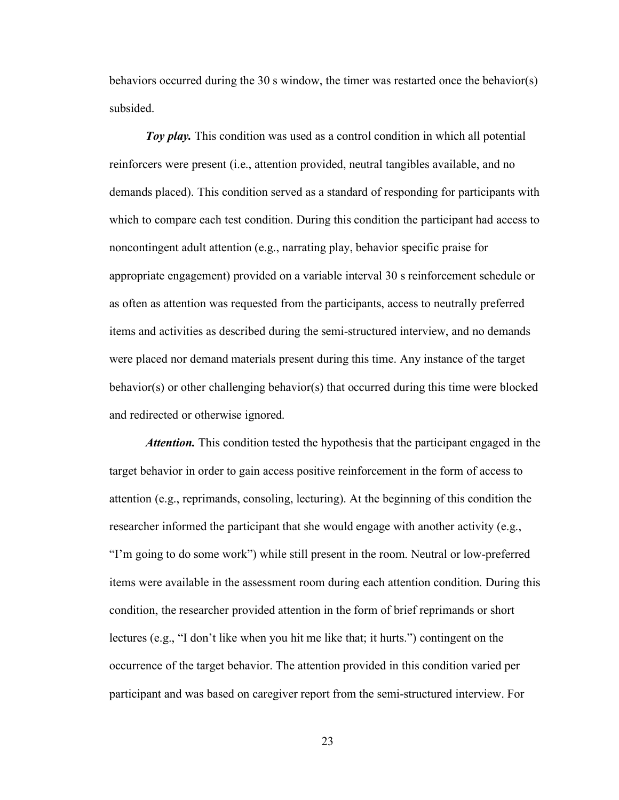behaviors occurred during the 30 s window, the timer was restarted once the behavior(s) subsided.

*Toy play.* This condition was used as a control condition in which all potential reinforcers were present (i.e., attention provided, neutral tangibles available, and no demands placed). This condition served as a standard of responding for participants with which to compare each test condition. During this condition the participant had access to noncontingent adult attention (e.g., narrating play, behavior specific praise for appropriate engagement) provided on a variable interval 30 s reinforcement schedule or as often as attention was requested from the participants, access to neutrally preferred items and activities as described during the semi-structured interview, and no demands were placed nor demand materials present during this time. Any instance of the target behavior(s) or other challenging behavior(s) that occurred during this time were blocked and redirected or otherwise ignored.

*Attention.* This condition tested the hypothesis that the participant engaged in the target behavior in order to gain access positive reinforcement in the form of access to attention (e.g., reprimands, consoling, lecturing). At the beginning of this condition the researcher informed the participant that she would engage with another activity (e.g., "I'm going to do some work") while still present in the room. Neutral or low-preferred items were available in the assessment room during each attention condition. During this condition, the researcher provided attention in the form of brief reprimands or short lectures (e.g., "I don't like when you hit me like that; it hurts.") contingent on the occurrence of the target behavior. The attention provided in this condition varied per participant and was based on caregiver report from the semi-structured interview. For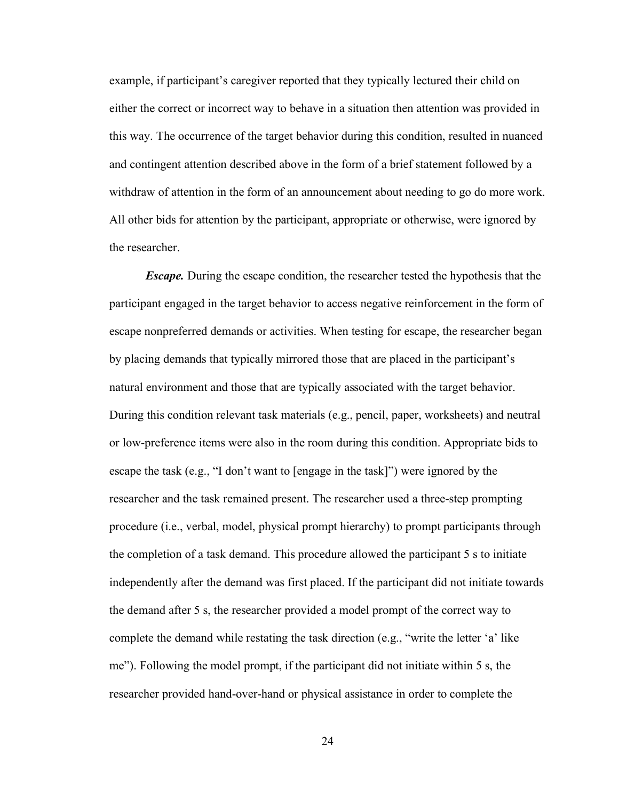example, if participant's caregiver reported that they typically lectured their child on either the correct or incorrect way to behave in a situation then attention was provided in this way. The occurrence of the target behavior during this condition, resulted in nuanced and contingent attention described above in the form of a brief statement followed by a withdraw of attention in the form of an announcement about needing to go do more work. All other bids for attention by the participant, appropriate or otherwise, were ignored by the researcher.

*Escape.* During the escape condition, the researcher tested the hypothesis that the participant engaged in the target behavior to access negative reinforcement in the form of escape nonpreferred demands or activities. When testing for escape, the researcher began by placing demands that typically mirrored those that are placed in the participant's natural environment and those that are typically associated with the target behavior. During this condition relevant task materials (e.g., pencil, paper, worksheets) and neutral or low-preference items were also in the room during this condition. Appropriate bids to escape the task (e.g., "I don't want to [engage in the task]") were ignored by the researcher and the task remained present. The researcher used a three-step prompting procedure (i.e., verbal, model, physical prompt hierarchy) to prompt participants through the completion of a task demand. This procedure allowed the participant 5 s to initiate independently after the demand was first placed. If the participant did not initiate towards the demand after 5 s, the researcher provided a model prompt of the correct way to complete the demand while restating the task direction (e.g., "write the letter 'a' like me"). Following the model prompt, if the participant did not initiate within 5 s, the researcher provided hand-over-hand or physical assistance in order to complete the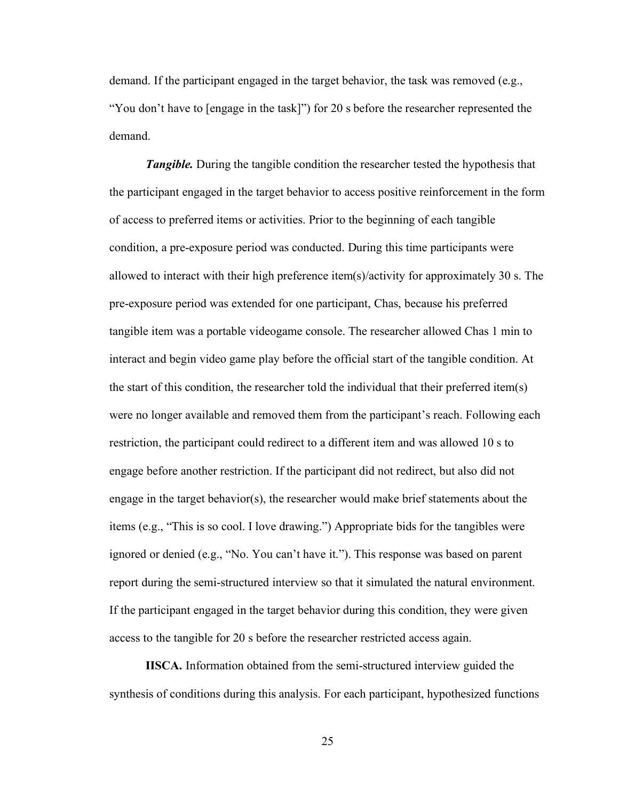demand. If the participant engaged in the target behavior, the task was removed (e.g., "You don't have to [engage in the task]") for 20 s before the researcher represented the demand.

*Tangible.* During the tangible condition the researcher tested the hypothesis that the participant engaged in the target behavior to access positive reinforcement in the form of access to preferred items or activities. Prior to the beginning of each tangible condition, a pre-exposure period was conducted. During this time participants were allowed to interact with their high preference item(s)/activity for approximately 30 s. The pre-exposure period was extended for one participant, Chas, because his preferred tangible item was a portable videogame console. The researcher allowed Chas 1 min to interact and begin video game play before the official start of the tangible condition. At the start of this condition, the researcher told the individual that their preferred item(s) were no longer available and removed them from the participant's reach. Following each restriction, the participant could redirect to a different item and was allowed 10 s to engage before another restriction. If the participant did not redirect, but also did not engage in the target behavior(s), the researcher would make brief statements about the items (e.g., "This is so cool. I love drawing.") Appropriate bids for the tangibles were ignored or denied (e.g., "No. You can't have it."). This response was based on parent report during the semi-structured interview so that it simulated the natural environment. If the participant engaged in the target behavior during this condition, they were given access to the tangible for 20 s before the researcher restricted access again.

**IISCA.** Information obtained from the semi-structured interview guided the synthesis of conditions during this analysis. For each participant, hypothesized functions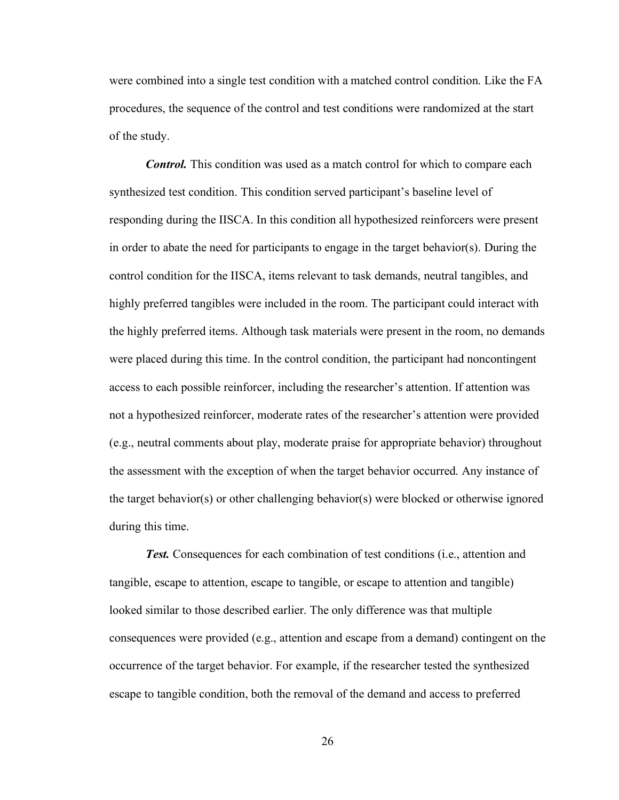were combined into a single test condition with a matched control condition. Like the FA procedures, the sequence of the control and test conditions were randomized at the start of the study.

*Control.* This condition was used as a match control for which to compare each synthesized test condition. This condition served participant's baseline level of responding during the IISCA. In this condition all hypothesized reinforcers were present in order to abate the need for participants to engage in the target behavior(s). During the control condition for the IISCA, items relevant to task demands, neutral tangibles, and highly preferred tangibles were included in the room. The participant could interact with the highly preferred items. Although task materials were present in the room, no demands were placed during this time. In the control condition, the participant had noncontingent access to each possible reinforcer, including the researcher's attention. If attention was not a hypothesized reinforcer, moderate rates of the researcher's attention were provided (e.g., neutral comments about play, moderate praise for appropriate behavior) throughout the assessment with the exception of when the target behavior occurred. Any instance of the target behavior(s) or other challenging behavior(s) were blocked or otherwise ignored during this time.

*Test.* Consequences for each combination of test conditions (i.e., attention and tangible, escape to attention, escape to tangible, or escape to attention and tangible) looked similar to those described earlier. The only difference was that multiple consequences were provided (e.g., attention and escape from a demand) contingent on the occurrence of the target behavior. For example, if the researcher tested the synthesized escape to tangible condition, both the removal of the demand and access to preferred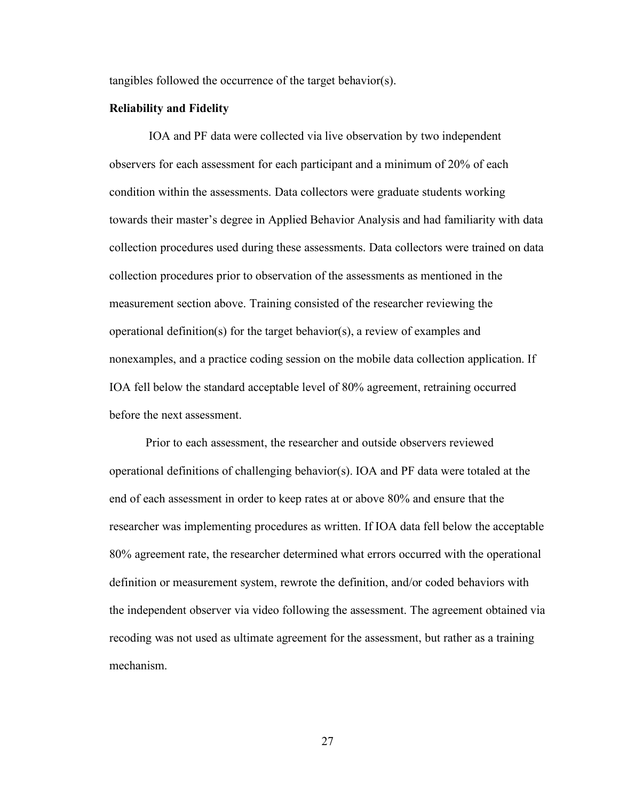tangibles followed the occurrence of the target behavior(s).

### **Reliability and Fidelity**

IOA and PF data were collected via live observation by two independent observers for each assessment for each participant and a minimum of 20% of each condition within the assessments. Data collectors were graduate students working towards their master's degree in Applied Behavior Analysis and had familiarity with data collection procedures used during these assessments. Data collectors were trained on data collection procedures prior to observation of the assessments as mentioned in the measurement section above. Training consisted of the researcher reviewing the operational definition(s) for the target behavior(s), a review of examples and nonexamples, and a practice coding session on the mobile data collection application. If IOA fell below the standard acceptable level of 80% agreement, retraining occurred before the next assessment.

Prior to each assessment, the researcher and outside observers reviewed operational definitions of challenging behavior(s). IOA and PF data were totaled at the end of each assessment in order to keep rates at or above 80% and ensure that the researcher was implementing procedures as written. If IOA data fell below the acceptable 80% agreement rate, the researcher determined what errors occurred with the operational definition or measurement system, rewrote the definition, and/or coded behaviors with the independent observer via video following the assessment. The agreement obtained via recoding was not used as ultimate agreement for the assessment, but rather as a training mechanism.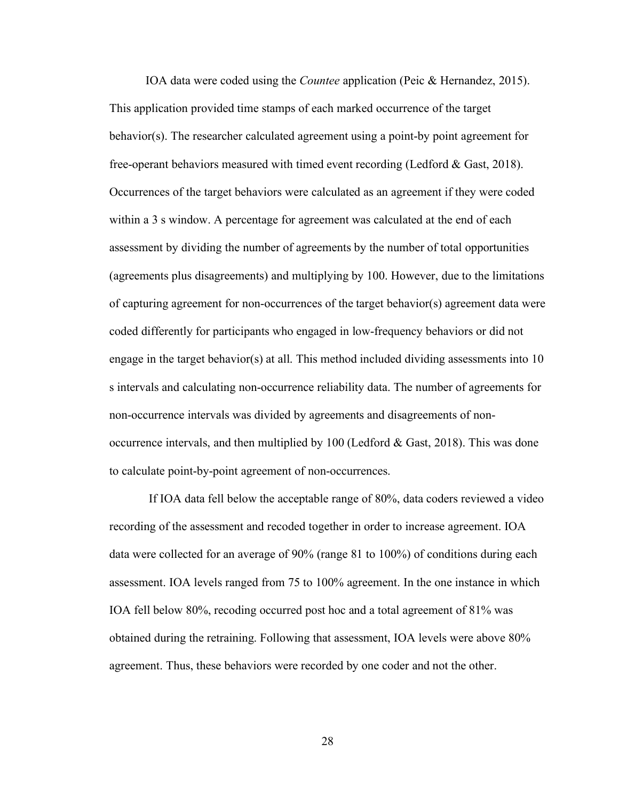IOA data were coded using the *Countee* application (Peic & Hernandez, 2015). This application provided time stamps of each marked occurrence of the target behavior(s). The researcher calculated agreement using a point-by point agreement for free-operant behaviors measured with timed event recording (Ledford & Gast, 2018). Occurrences of the target behaviors were calculated as an agreement if they were coded within a 3 s window. A percentage for agreement was calculated at the end of each assessment by dividing the number of agreements by the number of total opportunities (agreements plus disagreements) and multiplying by 100. However, due to the limitations of capturing agreement for non-occurrences of the target behavior(s) agreement data were coded differently for participants who engaged in low-frequency behaviors or did not engage in the target behavior(s) at all. This method included dividing assessments into 10 s intervals and calculating non-occurrence reliability data. The number of agreements for non-occurrence intervals was divided by agreements and disagreements of nonoccurrence intervals, and then multiplied by 100 (Ledford & Gast, 2018). This was done to calculate point-by-point agreement of non-occurrences.

If IOA data fell below the acceptable range of 80%, data coders reviewed a video recording of the assessment and recoded together in order to increase agreement. IOA data were collected for an average of 90% (range 81 to 100%) of conditions during each assessment. IOA levels ranged from 75 to 100% agreement. In the one instance in which IOA fell below 80%, recoding occurred post hoc and a total agreement of 81% was obtained during the retraining. Following that assessment, IOA levels were above 80% agreement. Thus, these behaviors were recorded by one coder and not the other.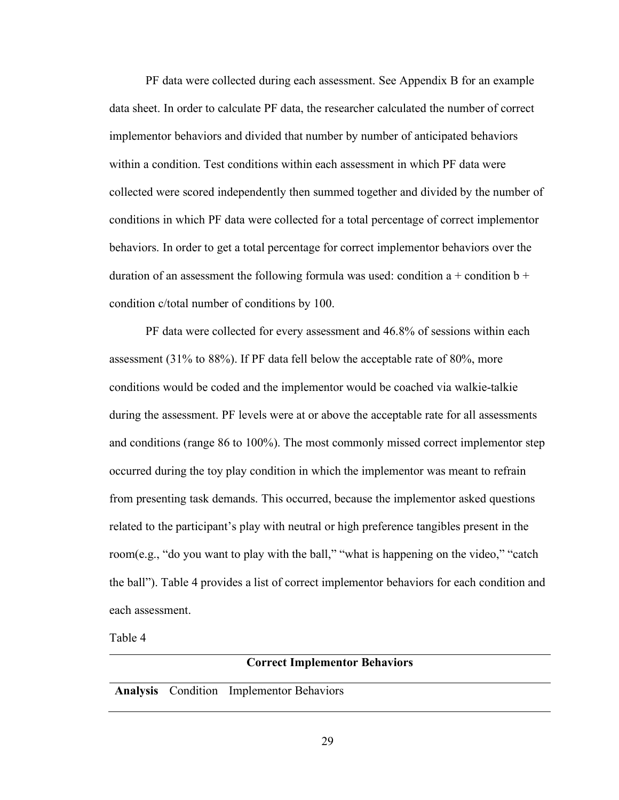PF data were collected during each assessment. See Appendix B for an example data sheet. In order to calculate PF data, the researcher calculated the number of correct implementor behaviors and divided that number by number of anticipated behaviors within a condition. Test conditions within each assessment in which PF data were collected were scored independently then summed together and divided by the number of conditions in which PF data were collected for a total percentage of correct implementor behaviors. In order to get a total percentage for correct implementor behaviors over the duration of an assessment the following formula was used: condition  $a +$  condition  $b +$ condition c/total number of conditions by 100.

PF data were collected for every assessment and 46.8% of sessions within each assessment (31% to 88%). If PF data fell below the acceptable rate of 80%, more conditions would be coded and the implementor would be coached via walkie-talkie during the assessment. PF levels were at or above the acceptable rate for all assessments and conditions (range 86 to 100%). The most commonly missed correct implementor step occurred during the toy play condition in which the implementor was meant to refrain from presenting task demands. This occurred, because the implementor asked questions related to the participant's play with neutral or high preference tangibles present in the room(e.g., "do you want to play with the ball," "what is happening on the video," "catch the ball"). Table 4 provides a list of correct implementor behaviors for each condition and each assessment.

Table 4

### **Correct Implementor Behaviors**

**Analysis** Condition Implementor Behaviors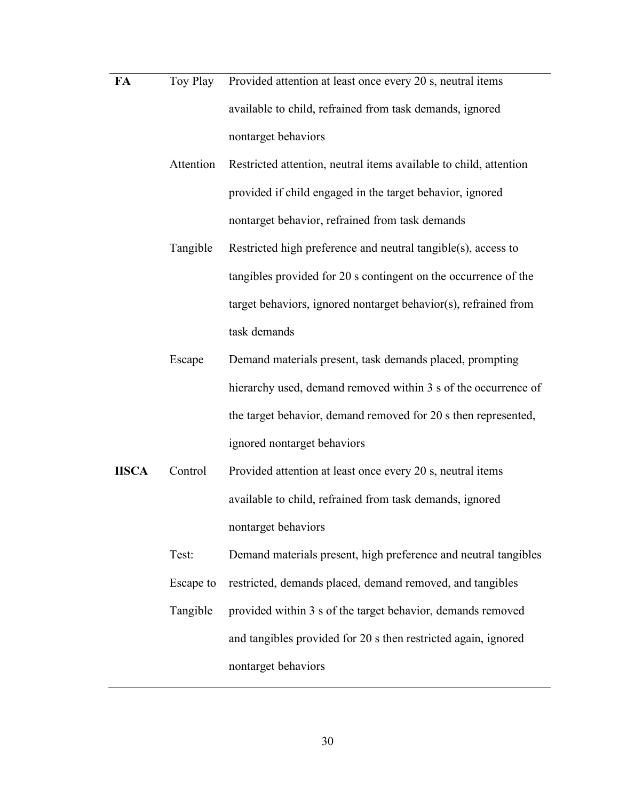- FA Toy Play Provided attention at least once every 20 s, neutral items available to child, refrained from task demands, ignored nontarget behaviors
	- Attention Restricted attention, neutral items available to child, attention provided if child engaged in the target behavior, ignored nontarget behavior, refrained from task demands
	- Tangible Restricted high preference and neutral tangible(s), access to tangibles provided for 20 s contingent on the occurrence of the target behaviors, ignored nontarget behavior(s), refrained from task demands
	- Escape Demand materials present, task demands placed, prompting hierarchy used, demand removed within 3 s of the occurrence of the target behavior, demand removed for 20 s then represented, ignored nontarget behaviors
- **IISCA** Control Provided attention at least once every 20 s, neutral items available to child, refrained from task demands, ignored nontarget behaviors
	- Test: Demand materials present, high preference and neutral tangibles
	- Escape to restricted, demands placed, demand removed, and tangibles
	- Tangible provided within 3 s of the target behavior, demands removed and tangibles provided for 20 s then restricted again, ignored nontarget behaviors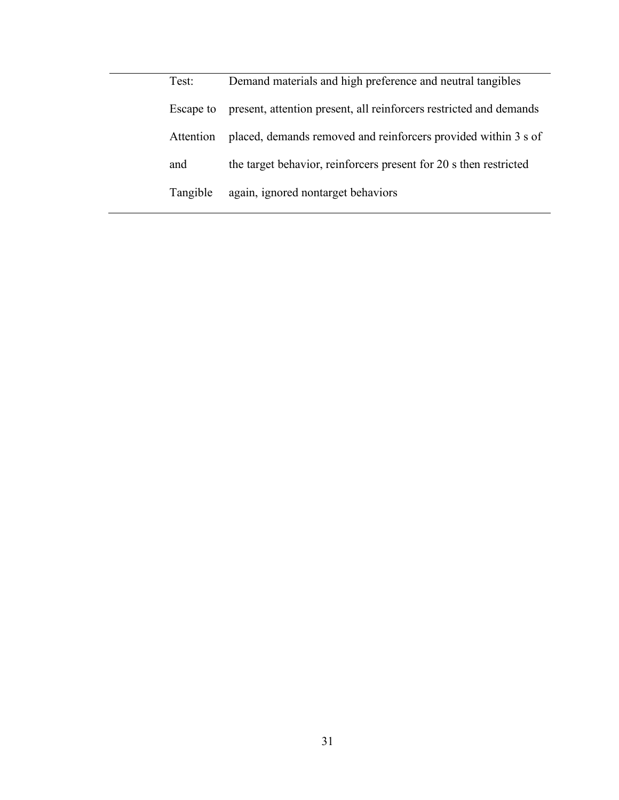| Test:     | Demand materials and high preference and neutral tangibles         |
|-----------|--------------------------------------------------------------------|
| Escape to | present, attention present, all reinforcers restricted and demands |
| Attention | placed, demands removed and reinforcers provided within 3 s of     |
| and       | the target behavior, reinforcers present for 20 s then restricted  |
| Tangible  | again, ignored nontarget behaviors                                 |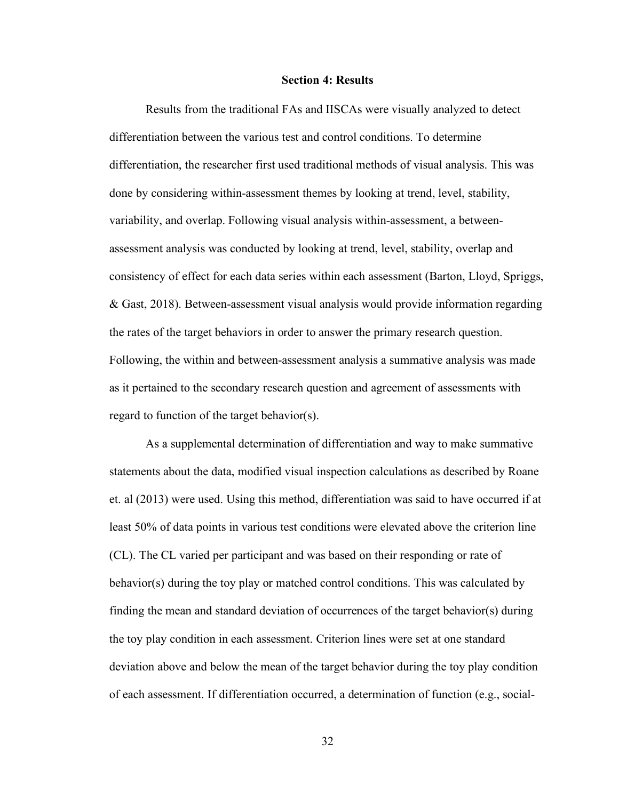### **Section 4: Results**

Results from the traditional FAs and IISCAs were visually analyzed to detect differentiation between the various test and control conditions. To determine differentiation, the researcher first used traditional methods of visual analysis. This was done by considering within-assessment themes by looking at trend, level, stability, variability, and overlap. Following visual analysis within-assessment, a betweenassessment analysis was conducted by looking at trend, level, stability, overlap and consistency of effect for each data series within each assessment (Barton, Lloyd, Spriggs, & Gast, 2018). Between-assessment visual analysis would provide information regarding the rates of the target behaviors in order to answer the primary research question. Following, the within and between-assessment analysis a summative analysis was made as it pertained to the secondary research question and agreement of assessments with regard to function of the target behavior(s).

As a supplemental determination of differentiation and way to make summative statements about the data, modified visual inspection calculations as described by Roane et. al (2013) were used. Using this method, differentiation was said to have occurred if at least 50% of data points in various test conditions were elevated above the criterion line (CL). The CL varied per participant and was based on their responding or rate of behavior(s) during the toy play or matched control conditions. This was calculated by finding the mean and standard deviation of occurrences of the target behavior(s) during the toy play condition in each assessment. Criterion lines were set at one standard deviation above and below the mean of the target behavior during the toy play condition of each assessment. If differentiation occurred, a determination of function (e.g., social-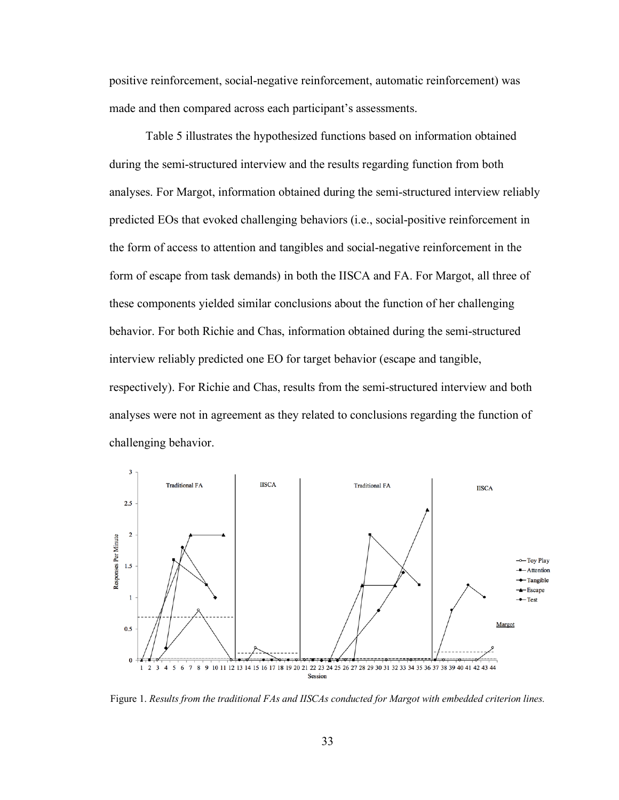positive reinforcement, social-negative reinforcement, automatic reinforcement) was made and then compared across each participant's assessments.

Table 5 illustrates the hypothesized functions based on information obtained during the semi-structured interview and the results regarding function from both analyses. For Margot, information obtained during the semi-structured interview reliably predicted EOs that evoked challenging behaviors (i.e., social-positive reinforcement in the form of access to attention and tangibles and social-negative reinforcement in the form of escape from task demands) in both the IISCA and FA. For Margot, all three of these components yielded similar conclusions about the function of her challenging behavior. For both Richie and Chas, information obtained during the semi-structured interview reliably predicted one EO for target behavior (escape and tangible, respectively). For Richie and Chas, results from the semi-structured interview and both analyses were not in agreement as they related to conclusions regarding the function of challenging behavior.



Figure 1. *Results from the traditional FAs and IISCAs conducted for Margot with embedded criterion lines.*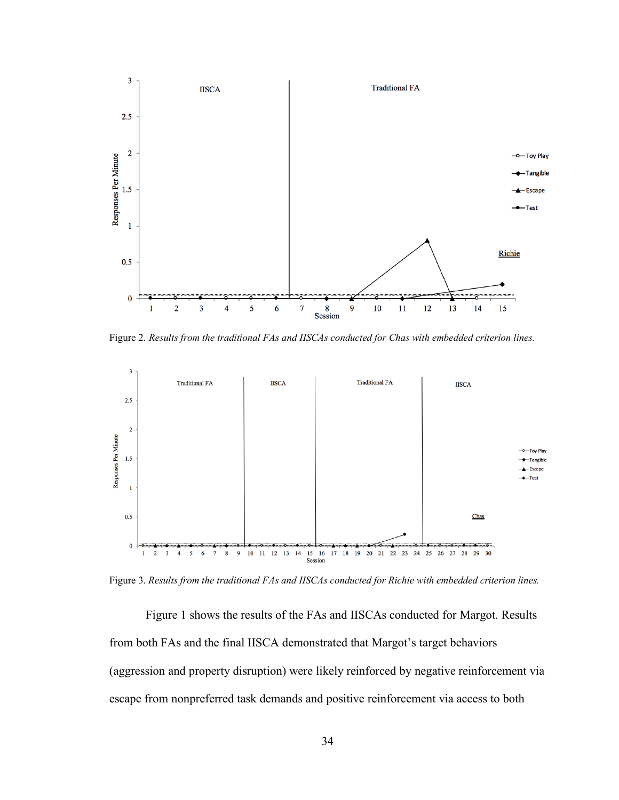

Figure 2. *Results from the traditional FAs and IISCAs conducted for Chas with embedded criterion lines.* 



Figure 3. *Results from the traditional FAs and IISCAs conducted for Richie with embedded criterion lines.* 

Figure 1 shows the results of the FAs and IISCAs conducted for Margot. Results from both FAs and the final IISCA demonstrated that Margot's target behaviors (aggression and property disruption) were likely reinforced by negative reinforcement via escape from nonpreferred task demands and positive reinforcement via access to both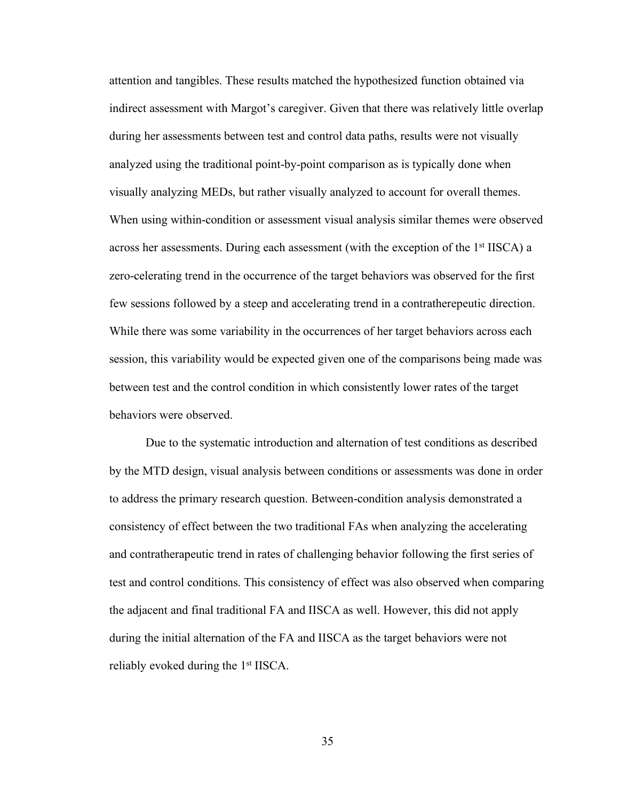attention and tangibles. These results matched the hypothesized function obtained via indirect assessment with Margot's caregiver. Given that there was relatively little overlap during her assessments between test and control data paths, results were not visually analyzed using the traditional point-by-point comparison as is typically done when visually analyzing MEDs, but rather visually analyzed to account for overall themes. When using within-condition or assessment visual analysis similar themes were observed across her assessments. During each assessment (with the exception of the  $1<sup>st</sup> IISCA$ ) a zero-celerating trend in the occurrence of the target behaviors was observed for the first few sessions followed by a steep and accelerating trend in a contratherepeutic direction. While there was some variability in the occurrences of her target behaviors across each session, this variability would be expected given one of the comparisons being made was between test and the control condition in which consistently lower rates of the target behaviors were observed.

Due to the systematic introduction and alternation of test conditions as described by the MTD design, visual analysis between conditions or assessments was done in order to address the primary research question. Between-condition analysis demonstrated a consistency of effect between the two traditional FAs when analyzing the accelerating and contratherapeutic trend in rates of challenging behavior following the first series of test and control conditions. This consistency of effect was also observed when comparing the adjacent and final traditional FA and IISCA as well. However, this did not apply during the initial alternation of the FA and IISCA as the target behaviors were not reliably evoked during the 1<sup>st</sup> IISCA.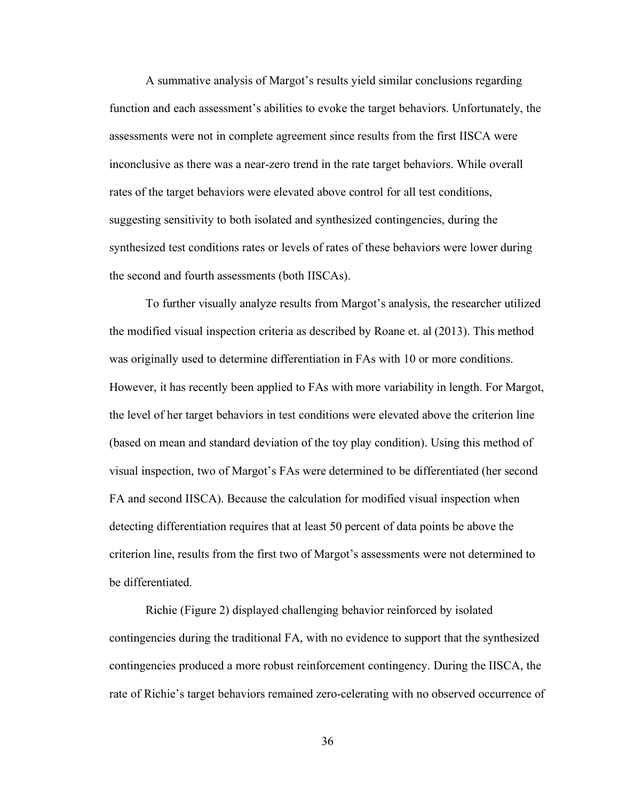A summative analysis of Margot's results yield similar conclusions regarding function and each assessment's abilities to evoke the target behaviors. Unfortunately, the assessments were not in complete agreement since results from the first IISCA were inconclusive as there was a near-zero trend in the rate target behaviors. While overall rates of the target behaviors were elevated above control for all test conditions, suggesting sensitivity to both isolated and synthesized contingencies, during the synthesized test conditions rates or levels of rates of these behaviors were lower during the second and fourth assessments (both IISCAs).

To further visually analyze results from Margot's analysis, the researcher utilized the modified visual inspection criteria as described by Roane et. al (2013). This method was originally used to determine differentiation in FAs with 10 or more conditions. However, it has recently been applied to FAs with more variability in length. For Margot, the level of her target behaviors in test conditions were elevated above the criterion line (based on mean and standard deviation of the toy play condition). Using this method of visual inspection, two of Margot's FAs were determined to be differentiated (her second FA and second IISCA). Because the calculation for modified visual inspection when detecting differentiation requires that at least 50 percent of data points be above the criterion line, results from the first two of Margot's assessments were not determined to be differentiated.

Richie (Figure 2) displayed challenging behavior reinforced by isolated contingencies during the traditional FA, with no evidence to support that the synthesized contingencies produced a more robust reinforcement contingency. During the IISCA, the rate of Richie's target behaviors remained zero-celerating with no observed occurrence of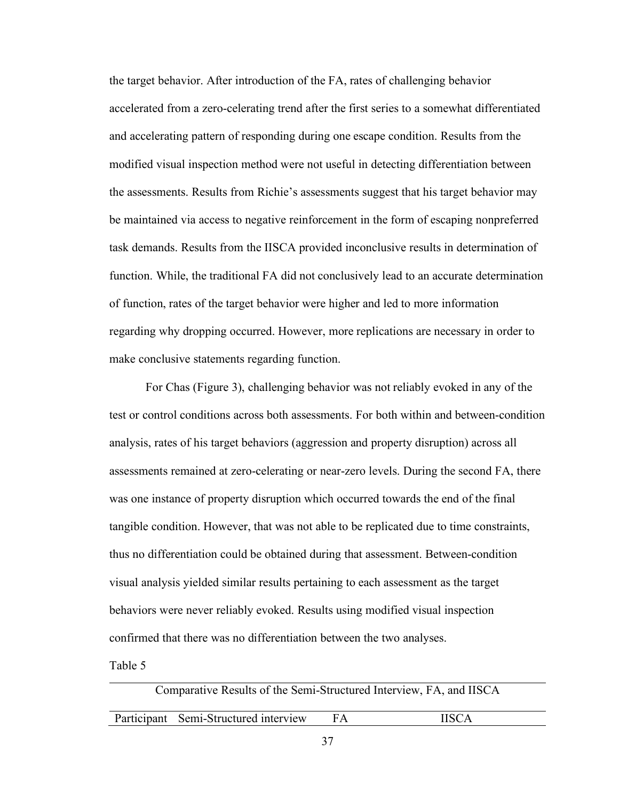the target behavior. After introduction of the FA, rates of challenging behavior accelerated from a zero-celerating trend after the first series to a somewhat differentiated and accelerating pattern of responding during one escape condition. Results from the modified visual inspection method were not useful in detecting differentiation between the assessments. Results from Richie's assessments suggest that his target behavior may be maintained via access to negative reinforcement in the form of escaping nonpreferred task demands. Results from the IISCA provided inconclusive results in determination of function. While, the traditional FA did not conclusively lead to an accurate determination of function, rates of the target behavior were higher and led to more information regarding why dropping occurred. However, more replications are necessary in order to make conclusive statements regarding function.

For Chas (Figure 3), challenging behavior was not reliably evoked in any of the test or control conditions across both assessments. For both within and between-condition analysis, rates of his target behaviors (aggression and property disruption) across all assessments remained at zero-celerating or near-zero levels. During the second FA, there was one instance of property disruption which occurred towards the end of the final tangible condition. However, that was not able to be replicated due to time constraints, thus no differentiation could be obtained during that assessment. Between-condition visual analysis yielded similar results pertaining to each assessment as the target behaviors were never reliably evoked. Results using modified visual inspection confirmed that there was no differentiation between the two analyses.

Table 5

| Comparative Results of the Semi-Structured Interview, FA, and IISCA |    |              |  |
|---------------------------------------------------------------------|----|--------------|--|
| Participant Semi-Structured interview                               | FА | <b>IISCA</b> |  |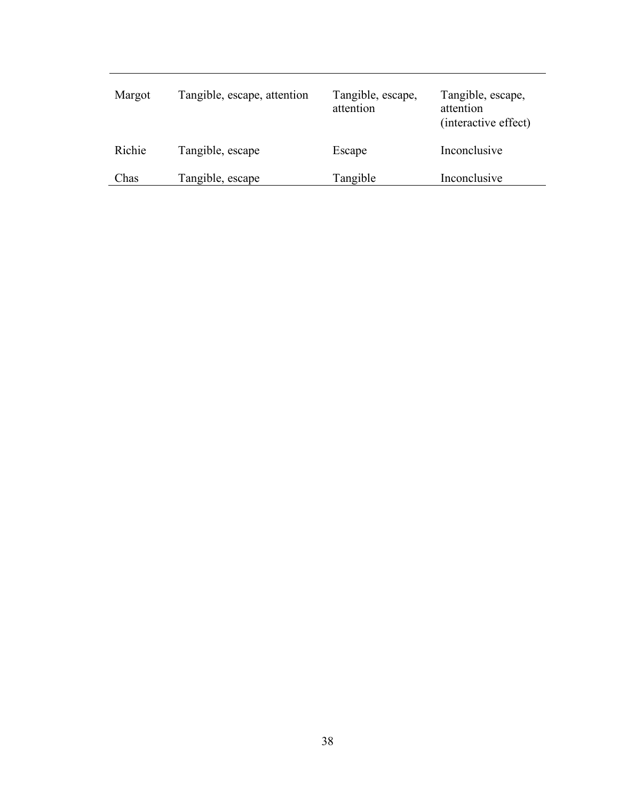| Margot | Tangible, escape, attention | Tangible, escape,<br>attention | Tangible, escape,<br>attention<br>(interactive effect) |
|--------|-----------------------------|--------------------------------|--------------------------------------------------------|
| Richie | Tangible, escape            | Escape                         | Inconclusive                                           |
| Chas   | Tangible, escape            | Tangible                       | Inconclusive                                           |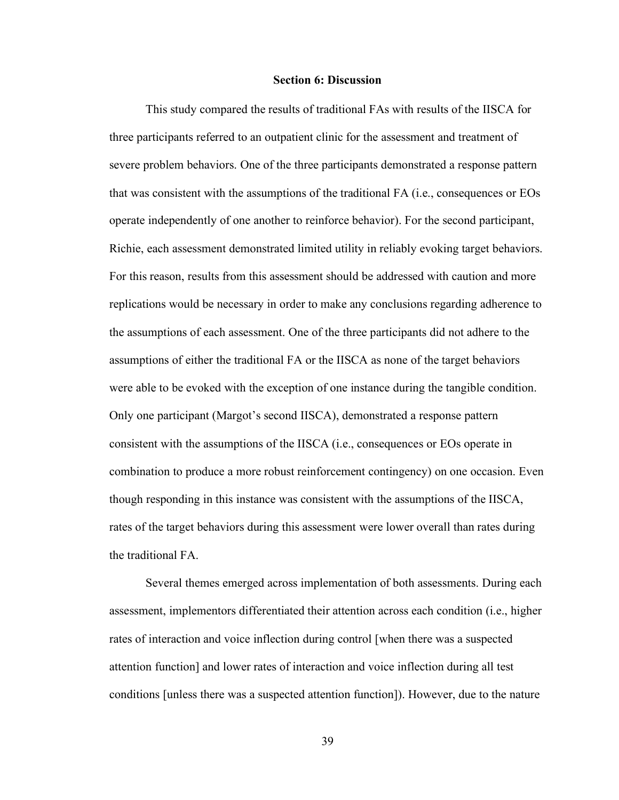### **Section 6: Discussion**

This study compared the results of traditional FAs with results of the IISCA for three participants referred to an outpatient clinic for the assessment and treatment of severe problem behaviors. One of the three participants demonstrated a response pattern that was consistent with the assumptions of the traditional FA (i.e., consequences or EOs operate independently of one another to reinforce behavior). For the second participant, Richie, each assessment demonstrated limited utility in reliably evoking target behaviors. For this reason, results from this assessment should be addressed with caution and more replications would be necessary in order to make any conclusions regarding adherence to the assumptions of each assessment. One of the three participants did not adhere to the assumptions of either the traditional FA or the IISCA as none of the target behaviors were able to be evoked with the exception of one instance during the tangible condition. Only one participant (Margot's second IISCA), demonstrated a response pattern consistent with the assumptions of the IISCA (i.e., consequences or EOs operate in combination to produce a more robust reinforcement contingency) on one occasion. Even though responding in this instance was consistent with the assumptions of the IISCA, rates of the target behaviors during this assessment were lower overall than rates during the traditional FA.

Several themes emerged across implementation of both assessments. During each assessment, implementors differentiated their attention across each condition (i.e., higher rates of interaction and voice inflection during control [when there was a suspected attention function] and lower rates of interaction and voice inflection during all test conditions [unless there was a suspected attention function]). However, due to the nature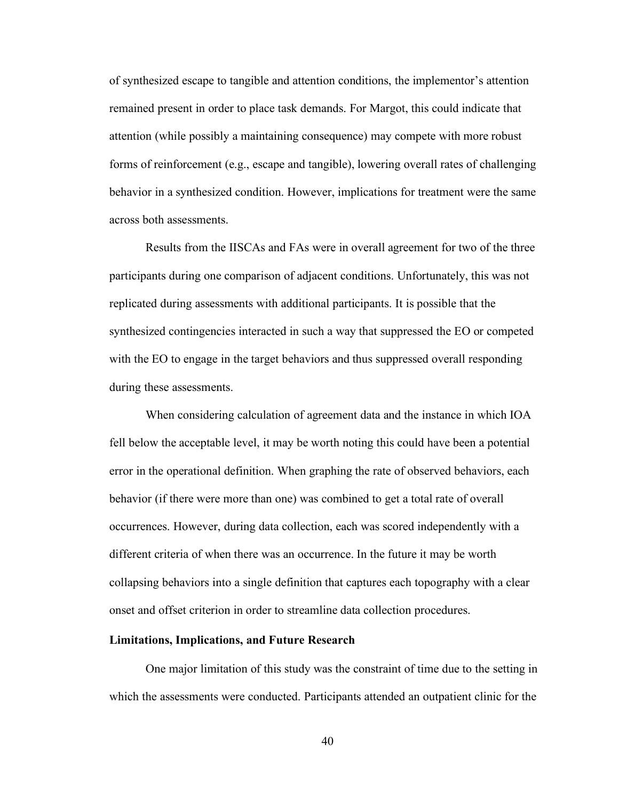of synthesized escape to tangible and attention conditions, the implementor's attention remained present in order to place task demands. For Margot, this could indicate that attention (while possibly a maintaining consequence) may compete with more robust forms of reinforcement (e.g., escape and tangible), lowering overall rates of challenging behavior in a synthesized condition. However, implications for treatment were the same across both assessments.

Results from the IISCAs and FAs were in overall agreement for two of the three participants during one comparison of adjacent conditions. Unfortunately, this was not replicated during assessments with additional participants. It is possible that the synthesized contingencies interacted in such a way that suppressed the EO or competed with the EO to engage in the target behaviors and thus suppressed overall responding during these assessments.

When considering calculation of agreement data and the instance in which IOA fell below the acceptable level, it may be worth noting this could have been a potential error in the operational definition. When graphing the rate of observed behaviors, each behavior (if there were more than one) was combined to get a total rate of overall occurrences. However, during data collection, each was scored independently with a different criteria of when there was an occurrence. In the future it may be worth collapsing behaviors into a single definition that captures each topography with a clear onset and offset criterion in order to streamline data collection procedures.

# **Limitations, Implications, and Future Research**

One major limitation of this study was the constraint of time due to the setting in which the assessments were conducted. Participants attended an outpatient clinic for the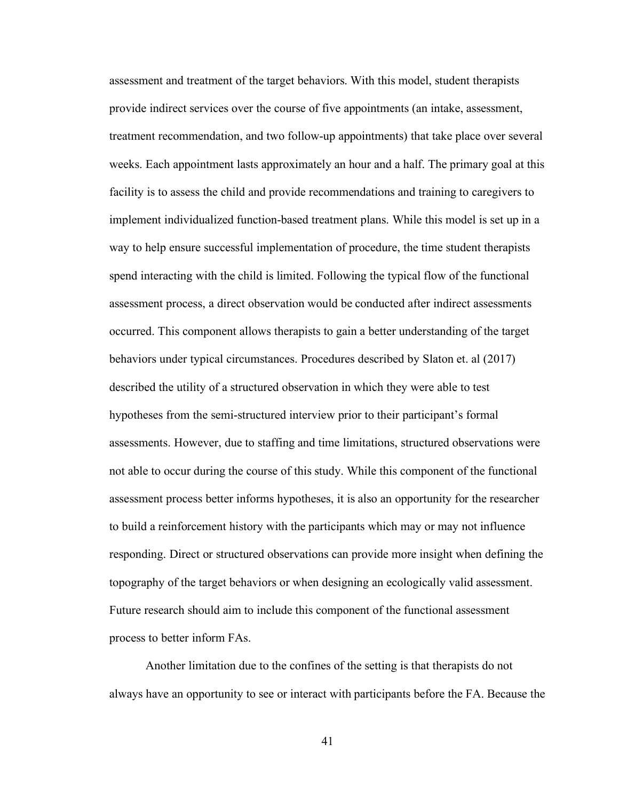assessment and treatment of the target behaviors. With this model, student therapists provide indirect services over the course of five appointments (an intake, assessment, treatment recommendation, and two follow-up appointments) that take place over several weeks. Each appointment lasts approximately an hour and a half. The primary goal at this facility is to assess the child and provide recommendations and training to caregivers to implement individualized function-based treatment plans. While this model is set up in a way to help ensure successful implementation of procedure, the time student therapists spend interacting with the child is limited. Following the typical flow of the functional assessment process, a direct observation would be conducted after indirect assessments occurred. This component allows therapists to gain a better understanding of the target behaviors under typical circumstances. Procedures described by Slaton et. al (2017) described the utility of a structured observation in which they were able to test hypotheses from the semi-structured interview prior to their participant's formal assessments. However, due to staffing and time limitations, structured observations were not able to occur during the course of this study. While this component of the functional assessment process better informs hypotheses, it is also an opportunity for the researcher to build a reinforcement history with the participants which may or may not influence responding. Direct or structured observations can provide more insight when defining the topography of the target behaviors or when designing an ecologically valid assessment. Future research should aim to include this component of the functional assessment process to better inform FAs.

Another limitation due to the confines of the setting is that therapists do not always have an opportunity to see or interact with participants before the FA. Because the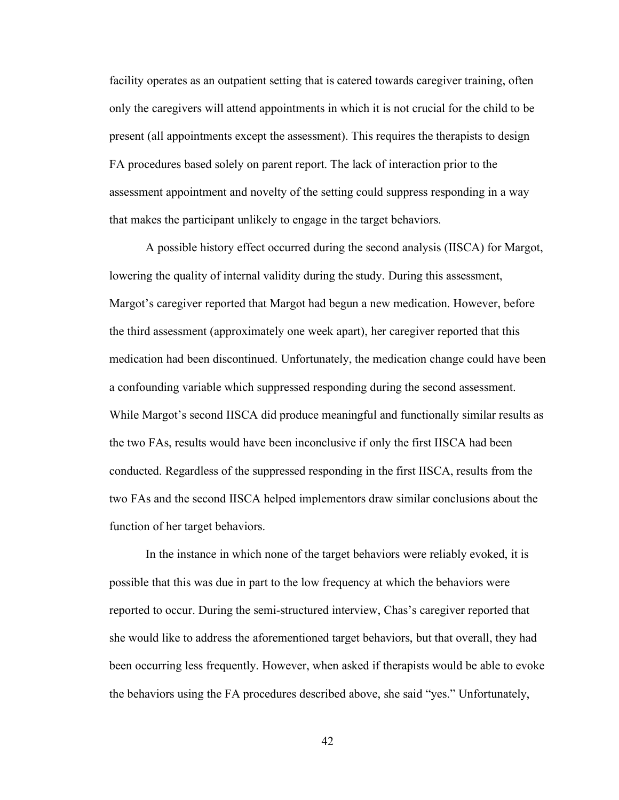facility operates as an outpatient setting that is catered towards caregiver training, often only the caregivers will attend appointments in which it is not crucial for the child to be present (all appointments except the assessment). This requires the therapists to design FA procedures based solely on parent report. The lack of interaction prior to the assessment appointment and novelty of the setting could suppress responding in a way that makes the participant unlikely to engage in the target behaviors.

A possible history effect occurred during the second analysis (IISCA) for Margot, lowering the quality of internal validity during the study. During this assessment, Margot's caregiver reported that Margot had begun a new medication. However, before the third assessment (approximately one week apart), her caregiver reported that this medication had been discontinued. Unfortunately, the medication change could have been a confounding variable which suppressed responding during the second assessment. While Margot's second IISCA did produce meaningful and functionally similar results as the two FAs, results would have been inconclusive if only the first IISCA had been conducted. Regardless of the suppressed responding in the first IISCA, results from the two FAs and the second IISCA helped implementors draw similar conclusions about the function of her target behaviors.

In the instance in which none of the target behaviors were reliably evoked, it is possible that this was due in part to the low frequency at which the behaviors were reported to occur. During the semi-structured interview, Chas's caregiver reported that she would like to address the aforementioned target behaviors, but that overall, they had been occurring less frequently. However, when asked if therapists would be able to evoke the behaviors using the FA procedures described above, she said "yes." Unfortunately,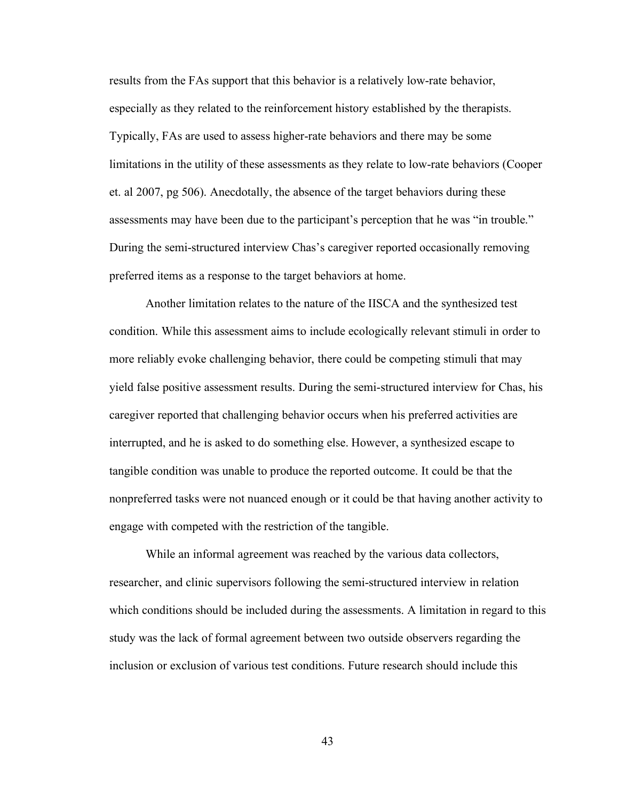results from the FAs support that this behavior is a relatively low-rate behavior, especially as they related to the reinforcement history established by the therapists. Typically, FAs are used to assess higher-rate behaviors and there may be some limitations in the utility of these assessments as they relate to low-rate behaviors (Cooper et. al 2007, pg 506). Anecdotally, the absence of the target behaviors during these assessments may have been due to the participant's perception that he was "in trouble." During the semi-structured interview Chas's caregiver reported occasionally removing preferred items as a response to the target behaviors at home.

Another limitation relates to the nature of the IISCA and the synthesized test condition. While this assessment aims to include ecologically relevant stimuli in order to more reliably evoke challenging behavior, there could be competing stimuli that may yield false positive assessment results. During the semi-structured interview for Chas, his caregiver reported that challenging behavior occurs when his preferred activities are interrupted, and he is asked to do something else. However, a synthesized escape to tangible condition was unable to produce the reported outcome. It could be that the nonpreferred tasks were not nuanced enough or it could be that having another activity to engage with competed with the restriction of the tangible.

While an informal agreement was reached by the various data collectors, researcher, and clinic supervisors following the semi-structured interview in relation which conditions should be included during the assessments. A limitation in regard to this study was the lack of formal agreement between two outside observers regarding the inclusion or exclusion of various test conditions. Future research should include this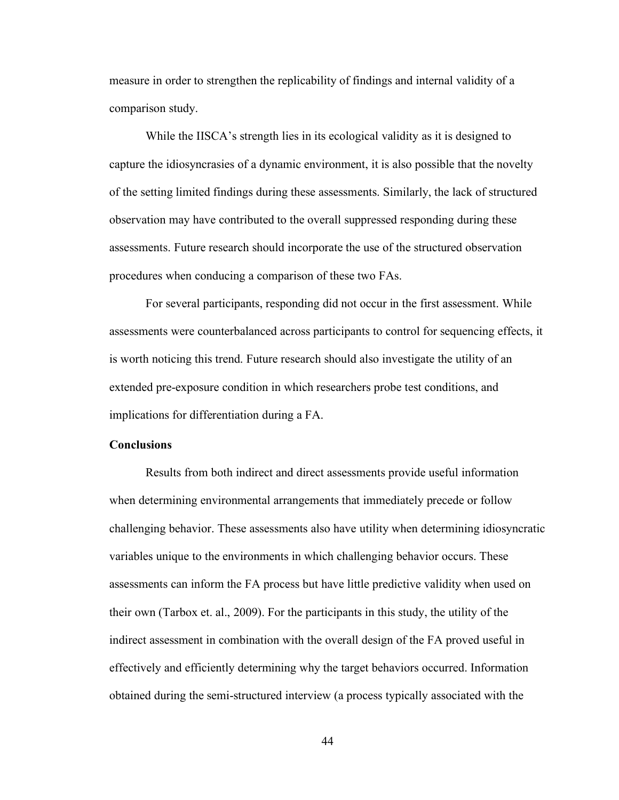measure in order to strengthen the replicability of findings and internal validity of a comparison study.

While the IISCA's strength lies in its ecological validity as it is designed to capture the idiosyncrasies of a dynamic environment, it is also possible that the novelty of the setting limited findings during these assessments. Similarly, the lack of structured observation may have contributed to the overall suppressed responding during these assessments. Future research should incorporate the use of the structured observation procedures when conducing a comparison of these two FAs.

For several participants, responding did not occur in the first assessment. While assessments were counterbalanced across participants to control for sequencing effects, it is worth noticing this trend. Future research should also investigate the utility of an extended pre-exposure condition in which researchers probe test conditions, and implications for differentiation during a FA.

### **Conclusions**

Results from both indirect and direct assessments provide useful information when determining environmental arrangements that immediately precede or follow challenging behavior. These assessments also have utility when determining idiosyncratic variables unique to the environments in which challenging behavior occurs. These assessments can inform the FA process but have little predictive validity when used on their own (Tarbox et. al., 2009). For the participants in this study, the utility of the indirect assessment in combination with the overall design of the FA proved useful in effectively and efficiently determining why the target behaviors occurred. Information obtained during the semi-structured interview (a process typically associated with the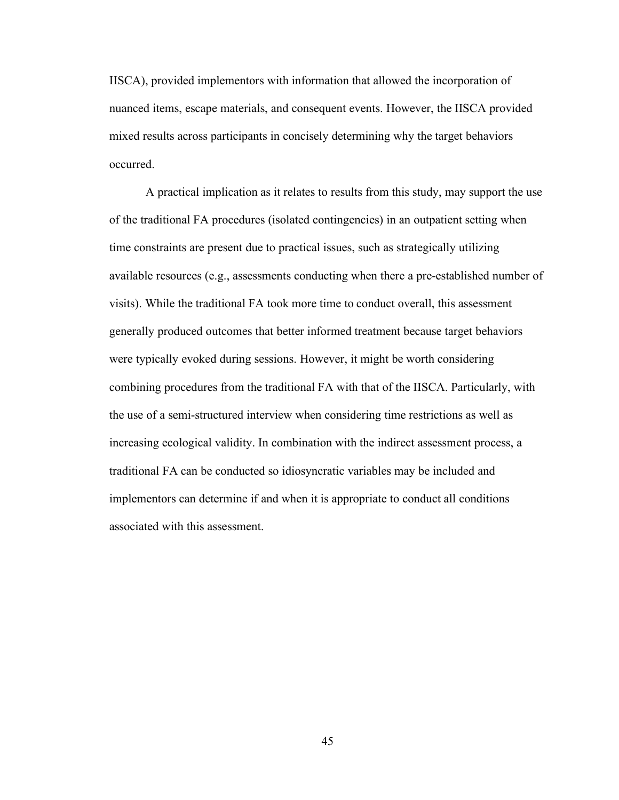IISCA), provided implementors with information that allowed the incorporation of nuanced items, escape materials, and consequent events. However, the IISCA provided mixed results across participants in concisely determining why the target behaviors occurred.

A practical implication as it relates to results from this study, may support the use of the traditional FA procedures (isolated contingencies) in an outpatient setting when time constraints are present due to practical issues, such as strategically utilizing available resources (e.g., assessments conducting when there a pre-established number of visits). While the traditional FA took more time to conduct overall, this assessment generally produced outcomes that better informed treatment because target behaviors were typically evoked during sessions. However, it might be worth considering combining procedures from the traditional FA with that of the IISCA. Particularly, with the use of a semi-structured interview when considering time restrictions as well as increasing ecological validity. In combination with the indirect assessment process, a traditional FA can be conducted so idiosyncratic variables may be included and implementors can determine if and when it is appropriate to conduct all conditions associated with this assessment.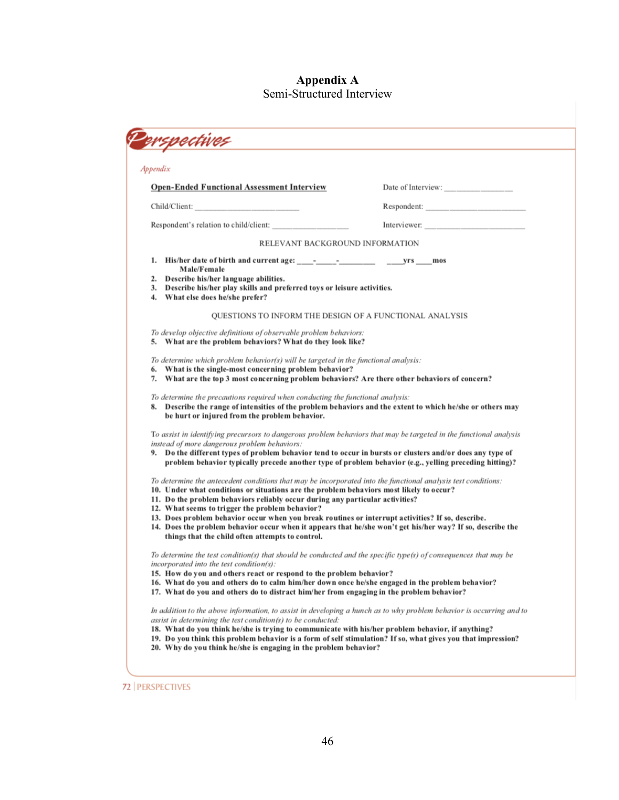### **Appendix A** Semi-Structured Interview

| prspectives                                                                                                                                                                                                                                                                           |                                    |
|---------------------------------------------------------------------------------------------------------------------------------------------------------------------------------------------------------------------------------------------------------------------------------------|------------------------------------|
| Appendix                                                                                                                                                                                                                                                                              |                                    |
| <b>Open-Ended Functional Assessment Interview</b>                                                                                                                                                                                                                                     | Date of Interview: _______________ |
| Child/Client:                                                                                                                                                                                                                                                                         | Respondent:                        |
| Respondent's relation to child/client:                                                                                                                                                                                                                                                | Interviewer:                       |
| RELEVANT BACKGROUND INFORMATION                                                                                                                                                                                                                                                       |                                    |
| Male/Female                                                                                                                                                                                                                                                                           |                                    |
| 2. Describe his/her language abilities.<br>3. Describe his/her play skills and preferred toys or leisure activities.<br>4. What else does he/she prefer?                                                                                                                              |                                    |
| <b>OUESTIONS TO INFORM THE DESIGN OF A FUNCTIONAL ANALYSIS</b>                                                                                                                                                                                                                        |                                    |
| To develop objective definitions of observable problem behaviors:<br>5. What are the problem behaviors? What do they look like?                                                                                                                                                       |                                    |
| To determine which problem behavior(s) will be targeted in the functional analysis:                                                                                                                                                                                                   |                                    |
| 6. What is the single-most concerning problem behavior?<br>7. What are the top 3 most concerning problem behaviors? Are there other behaviors of concern?                                                                                                                             |                                    |
| To determine the precautions required when conducting the functional analysis:                                                                                                                                                                                                        |                                    |
| 8. Describe the range of intensities of the problem behaviors and the extent to which he/she or others may<br>be hurt or injured from the problem behavior.                                                                                                                           |                                    |
| To assist in identifying precursors to dangerous problem behaviors that may be targeted in the functional analysis                                                                                                                                                                    |                                    |
| instead of more dangerous problem behaviors:<br>9. Do the different types of problem behavior tend to occur in bursts or clusters and/or does any type of<br>problem behavior typically precede another type of problem behavior (e.g., yelling preceding hitting)?                   |                                    |
| To determine the antecedent conditions that may be incorporated into the functional analysis test conditions:                                                                                                                                                                         |                                    |
| 10. Under what conditions or situations are the problem behaviors most likely to occur?<br>11. Do the problem behaviors reliably occur during any particular activities?                                                                                                              |                                    |
| 12. What seems to trigger the problem behavior?<br>13. Does problem behavior occur when you break routines or interrupt activities? If so, describe.                                                                                                                                  |                                    |
| 14. Does the problem behavior occur when it appears that he/she won't get his/her way? If so, describe the<br>things that the child often attempts to control.                                                                                                                        |                                    |
| To determine the test condition(s) that should be conducted and the specific type(s) of consequences that may be                                                                                                                                                                      |                                    |
| incorporated into the test condition(s):<br>15. How do you and others react or respond to the problem behavior?                                                                                                                                                                       |                                    |
| 16. What do you and others do to calm him/her down once he/she engaged in the problem behavior?<br>17. What do you and others do to distract him/her from engaging in the problem behavior?                                                                                           |                                    |
| In addition to the above information, to assist in developing a hunch as to why problem behavior is occurring and to                                                                                                                                                                  |                                    |
| assist in determining the test condition(s) to be conducted:                                                                                                                                                                                                                          |                                    |
| 18. What do you think he/she is trying to communicate with his/her problem behavior, if anything?<br>19. Do you think this problem behavior is a form of self stimulation? If so, what gives you that impression?<br>20. Why do you think he/she is engaging in the problem behavior? |                                    |

72 | PERSPECTIVES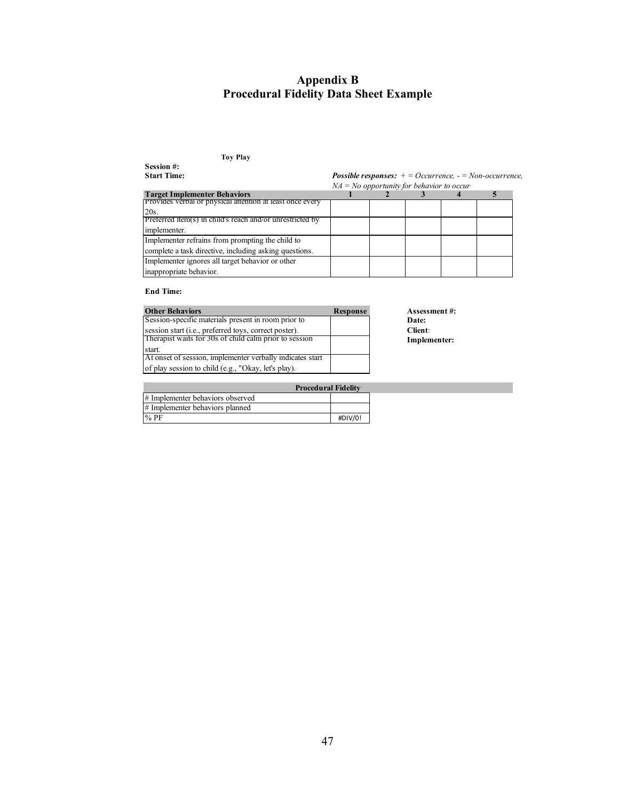### **Appendix B Procedural Fidelity Data Sheet Example**

**Toy Play** 

**Session #: Start Time:**

*Possible responses: + = Occurrence, - = Non-occurrence, NA = No opportunity for behavior to occur*

|                                                           | $N_A$ ivo opportunity for behavior to occur |  |  |  |  |
|-----------------------------------------------------------|---------------------------------------------|--|--|--|--|
| <b>Target Implementer Behaviors</b>                       |                                             |  |  |  |  |
| Provides verbal or physical attention at least once every |                                             |  |  |  |  |
| 20s.                                                      |                                             |  |  |  |  |
| Preferred item(s) in child's reach and/or unrestricted by |                                             |  |  |  |  |
| implementer.                                              |                                             |  |  |  |  |
| Implementer refrains from prompting the child to          |                                             |  |  |  |  |
| complete a task directive, including asking questions.    |                                             |  |  |  |  |
| Implementer ignores all target behavior or other          |                                             |  |  |  |  |
| inappropriate behavior.                                   |                                             |  |  |  |  |

#### **End Time:**

| <b>Other Behaviors</b>                                         | <b>Response</b> | <b>Assessment #:</b> |
|----------------------------------------------------------------|-----------------|----------------------|
| Session-specific materials present in room prior to            |                 | Date:                |
| session start ( <i>i.e.</i> , preferred toys, correct poster). |                 | Client:              |
| Therapist waits for 30s of child calm prior to session         |                 | Implementer:         |
| start.                                                         |                 |                      |
| At onset of session, implementer verbally indicates start      |                 |                      |
| of play session to child (e.g., "Okay, let's play).            |                 |                      |

| Assessment #: |  |
|---------------|--|
| Date:         |  |
| Client:       |  |
| Implementer:  |  |

|                                  | <b>Procedural Fidelity</b> |         |  |  |
|----------------------------------|----------------------------|---------|--|--|
| # Implementer behaviors observed |                            |         |  |  |
| # Implementer behaviors planned  |                            |         |  |  |
| $\%$ PF                          |                            | #DIV/0! |  |  |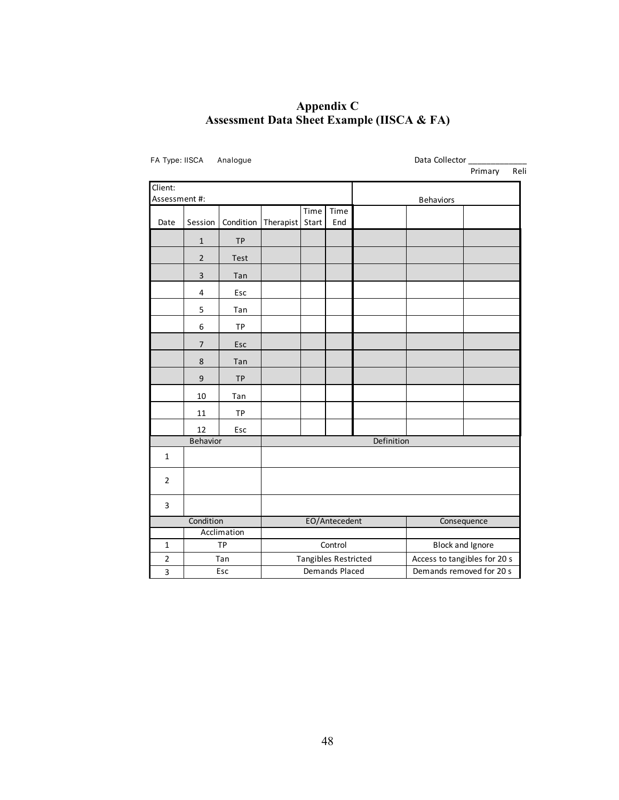### **Appendix C Assessment Data Sheet Example (IISCA & FA)**

| $1.1.1$ ypo. $1.007.1$   |                | ,,,,,,,,,,, |                       |               |                      |            | pata concetor                | Primary | Re |
|--------------------------|----------------|-------------|-----------------------|---------------|----------------------|------------|------------------------------|---------|----|
| Client:<br>Assessment #: |                |             |                       |               |                      |            | <b>Behaviors</b>             |         |    |
| Date                     | Session        | Condition   | Therapist             | Time<br>Start | Time<br>End          |            |                              |         |    |
|                          | $1\,$          | <b>TP</b>   |                       |               |                      |            |                              |         |    |
|                          | $\overline{2}$ | Test        |                       |               |                      |            |                              |         |    |
|                          | 3              | Tan         |                       |               |                      |            |                              |         |    |
|                          | 4              | Esc         |                       |               |                      |            |                              |         |    |
|                          | 5              | Tan         |                       |               |                      |            |                              |         |    |
|                          | 6              | TP          |                       |               |                      |            |                              |         |    |
|                          | $\overline{7}$ | Esc         |                       |               |                      |            |                              |         |    |
|                          | 8              | Tan         |                       |               |                      |            |                              |         |    |
|                          | 9              | <b>TP</b>   |                       |               |                      |            |                              |         |    |
|                          | 10             | Tan         |                       |               |                      |            |                              |         |    |
|                          | 11             | <b>TP</b>   |                       |               |                      |            |                              |         |    |
|                          | 12             | Esc         |                       |               |                      |            |                              |         |    |
| $\mathbf 1$              | Behavior       |             |                       |               |                      | Definition |                              |         |    |
|                          |                |             |                       |               |                      |            |                              |         |    |
| $\overline{2}$           |                |             |                       |               |                      |            |                              |         |    |
| 3                        |                |             |                       |               |                      |            |                              |         |    |
|                          | Condition      |             |                       | EO/Antecedent |                      |            | Consequence                  |         |    |
|                          |                | Acclimation |                       |               |                      |            |                              |         |    |
| $\mathbf 1$              |                | <b>TP</b>   |                       |               | Control              |            | <b>Block and Ignore</b>      |         |    |
| $\mathbf 2$              |                | Tan<br>Esc  |                       |               | Tangibles Restricted |            | Access to tangibles for 20 s |         |    |
| 3                        |                |             | <b>Demands Placed</b> |               |                      |            | Demands removed for 20 s     |         |    |

FA Type: IISCA Analogue Data Collector

eli<br>Pri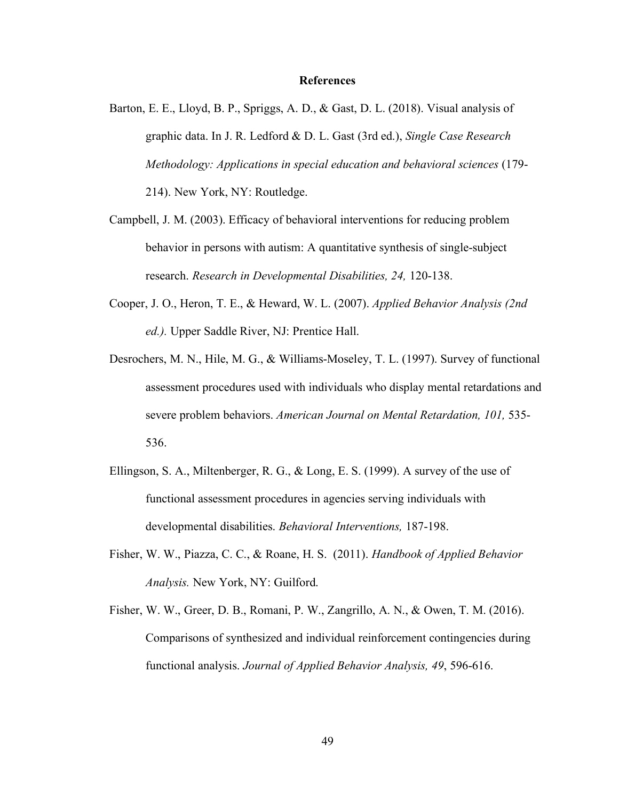### **References**

- Barton, E. E., Lloyd, B. P., Spriggs, A. D., & Gast, D. L. (2018). Visual analysis of graphic data. In J. R. Ledford & D. L. Gast (3rd ed.), *Single Case Research Methodology: Applications in special education and behavioral sciences* (179- 214). New York, NY: Routledge.
- Campbell, J. M. (2003). Efficacy of behavioral interventions for reducing problem behavior in persons with autism: A quantitative synthesis of single-subject research. *Research in Developmental Disabilities, 24,* 120-138.
- Cooper, J. O., Heron, T. E., & Heward, W. L. (2007). *Applied Behavior Analysis (2nd ed.).* Upper Saddle River, NJ: Prentice Hall.
- Desrochers, M. N., Hile, M. G., & Williams-Moseley, T. L. (1997). Survey of functional assessment procedures used with individuals who display mental retardations and severe problem behaviors. *American Journal on Mental Retardation, 101,* 535- 536.
- Ellingson, S. A., Miltenberger, R. G.,  $\&$  Long, E. S. (1999). A survey of the use of functional assessment procedures in agencies serving individuals with developmental disabilities. *Behavioral Interventions,* 187-198.
- Fisher, W. W., Piazza, C. C., & Roane, H. S. (2011). *Handbook of Applied Behavior Analysis.* New York, NY: Guilford.
- Fisher, W. W., Greer, D. B., Romani, P. W., Zangrillo, A. N., & Owen, T. M. (2016). Comparisons of synthesized and individual reinforcement contingencies during functional analysis. *Journal of Applied Behavior Analysis, 49*, 596-616.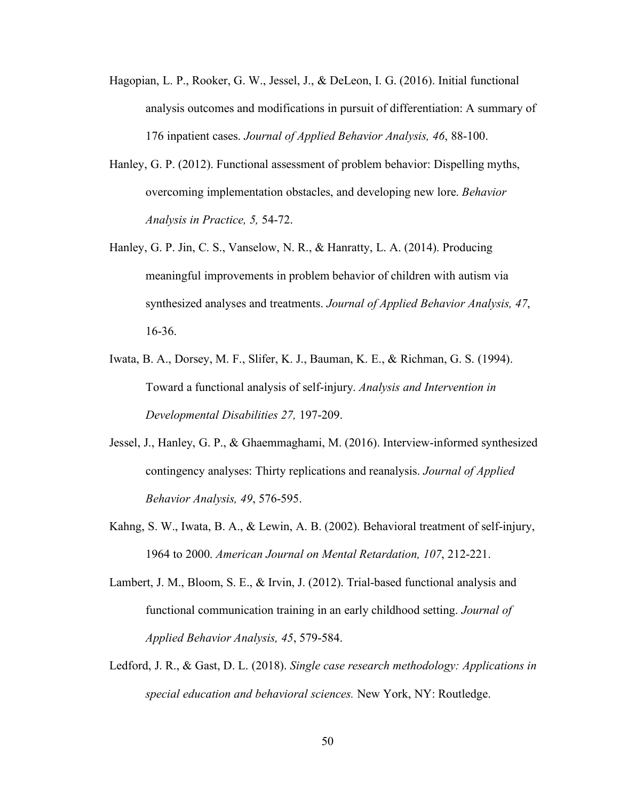- Hagopian, L. P., Rooker, G. W., Jessel, J., & DeLeon, I. G. (2016). Initial functional analysis outcomes and modifications in pursuit of differentiation: A summary of 176 inpatient cases. *Journal of Applied Behavior Analysis, 46*, 88-100.
- Hanley, G. P. (2012). Functional assessment of problem behavior: Dispelling myths, overcoming implementation obstacles, and developing new lore. *Behavior Analysis in Practice, 5,* 54-72.
- Hanley, G. P. Jin, C. S., Vanselow, N. R., & Hanratty, L. A. (2014). Producing meaningful improvements in problem behavior of children with autism via synthesized analyses and treatments. *Journal of Applied Behavior Analysis, 47*, 16-36.
- Iwata, B. A., Dorsey, M. F., Slifer, K. J., Bauman, K. E., & Richman, G. S. (1994). Toward a functional analysis of self-injury. *Analysis and Intervention in Developmental Disabilities 27,* 197-209.
- Jessel, J., Hanley, G. P., & Ghaemmaghami, M. (2016). Interview-informed synthesized contingency analyses: Thirty replications and reanalysis. *Journal of Applied Behavior Analysis, 49*, 576-595.
- Kahng, S. W., Iwata, B. A., & Lewin, A. B. (2002). Behavioral treatment of self-injury, 1964 to 2000. *American Journal on Mental Retardation, 107*, 212-221.
- Lambert, J. M., Bloom, S. E., & Irvin, J. (2012). Trial-based functional analysis and functional communication training in an early childhood setting. *Journal of Applied Behavior Analysis, 45*, 579-584.
- Ledford, J. R., & Gast, D. L. (2018). *Single case research methodology: Applications in special education and behavioral sciences.* New York, NY: Routledge.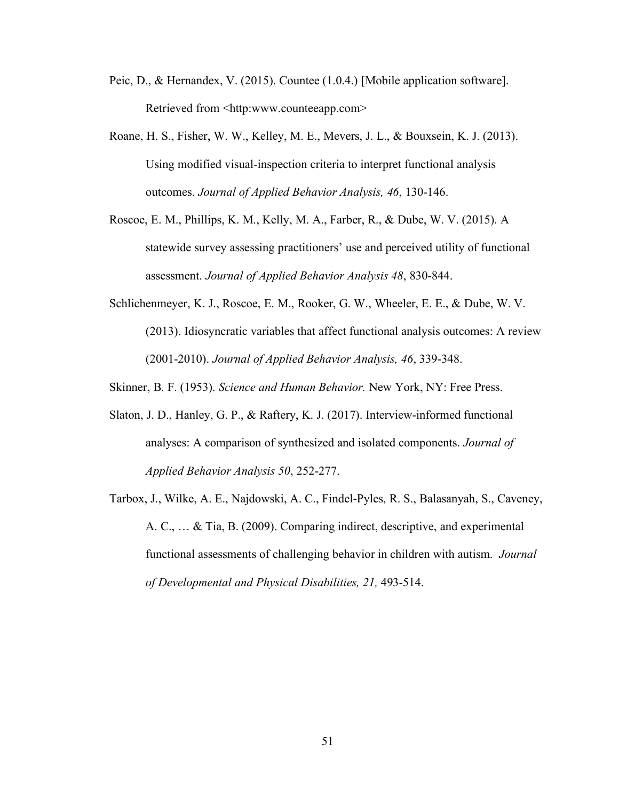- Peic, D., & Hernandex, V. (2015). Countee (1.0.4.) [Mobile application software]. Retrieved from <http:www.counteeapp.com>
- Roane, H. S., Fisher, W. W., Kelley, M. E., Mevers, J. L., & Bouxsein, K. J. (2013). Using modified visual-inspection criteria to interpret functional analysis outcomes. *Journal of Applied Behavior Analysis, 46*, 130-146.
- Roscoe, E. M., Phillips, K. M., Kelly, M. A., Farber, R., & Dube, W. V. (2015). A statewide survey assessing practitioners' use and perceived utility of functional assessment. *Journal of Applied Behavior Analysis 48*, 830-844.
- Schlichenmeyer, K. J., Roscoe, E. M., Rooker, G. W., Wheeler, E. E., & Dube, W. V. (2013). Idiosyncratic variables that affect functional analysis outcomes: A review (2001-2010). *Journal of Applied Behavior Analysis, 46*, 339-348.
- Skinner, B. F. (1953). *Science and Human Behavior.* New York, NY: Free Press.
- Slaton, J. D., Hanley, G. P., & Raftery, K. J. (2017). Interview-informed functional analyses: A comparison of synthesized and isolated components. *Journal of Applied Behavior Analysis 50*, 252-277.
- Tarbox, J., Wilke, A. E., Najdowski, A. C., Findel-Pyles, R. S., Balasanyah, S., Caveney, A. C., … & Tia, B. (2009). Comparing indirect, descriptive, and experimental functional assessments of challenging behavior in children with autism. *Journal of Developmental and Physical Disabilities, 21,* 493-514.